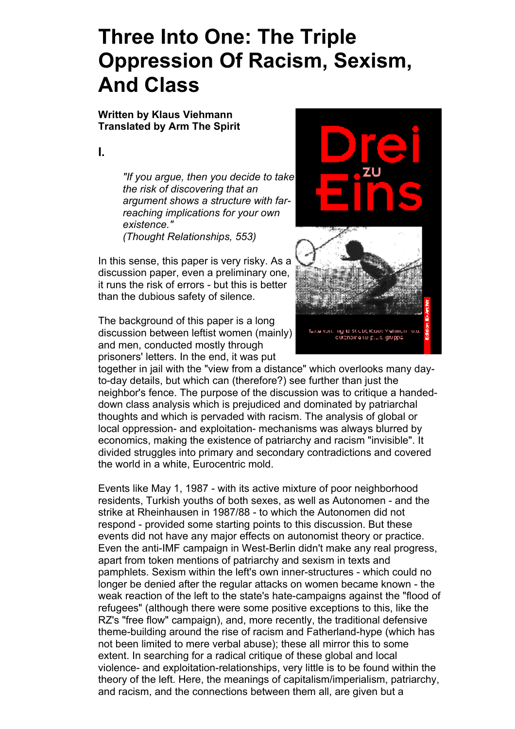# **Three Into One: The Triple Oppression Of Racism, Sexism, And Class**

**Written by Klaus Viehmann Translated by Arm The Spirit**

**I.**

*"If you argue, then you decide to take the risk of discovering that an argument shows a structure with farreaching implications for your own existence." (Thought Relationships, 553)*

In this sense, this paper is very risky. As a discussion paper, even a preliminary one, it runs the risk of errors - but this is better than the dubious safety of silence.

The background of this paper is a long discussion between leftist women (mainly) and men, conducted mostly through prisoners' letters. In the end, it was put

together in jail with the "view from a distance" which overlooks many dayto-day details, but which can (therefore?) see further than just the neighbor's fence. The purpose of the discussion was to critique a handeddown class analysis which is prejudiced and dominated by patriarchal thoughts and which is pervaded with racism. The analysis of global or local oppression- and exploitation- mechanisms was always blurred by economics, making the existence of patriarchy and racism "invisible". It divided struggles into primary and secondary contradictions and covered the world in a white, Eurocentric mold.

Events like May 1, 1987 - with its active mixture of poor neighborhood residents, Turkish youths of both sexes, as well as Autonomen - and the strike at Rheinhausen in 1987/88 - to which the Autonomen did not respond - provided some starting points to this discussion. But these events did not have any major effects on autonomist theory or practice. Even the anti-IMF campaign in West-Berlin didn't make any real progress, apart from token mentions of patriarchy and sexism in texts and pamphlets. Sexism within the left's own inner-structures - which could no longer be denied after the regular attacks on women became known - the weak reaction of the left to the state's hate-campaigns against the "flood of refugees" (although there were some positive exceptions to this, like the RZ's "free flow" campaign), and, more recently, the traditional defensive theme-building around the rise of racism and Fatherland-hype (which has not been limited to mere verbal abuse); these all mirror this to some extent. In searching for a radical critique of these global and local violence- and exploitation-relationships, very little is to be found within the theory of the left. Here, the meanings of capitalism/imperialism, patriarchy, and racism, and the connections between them all, are given but a

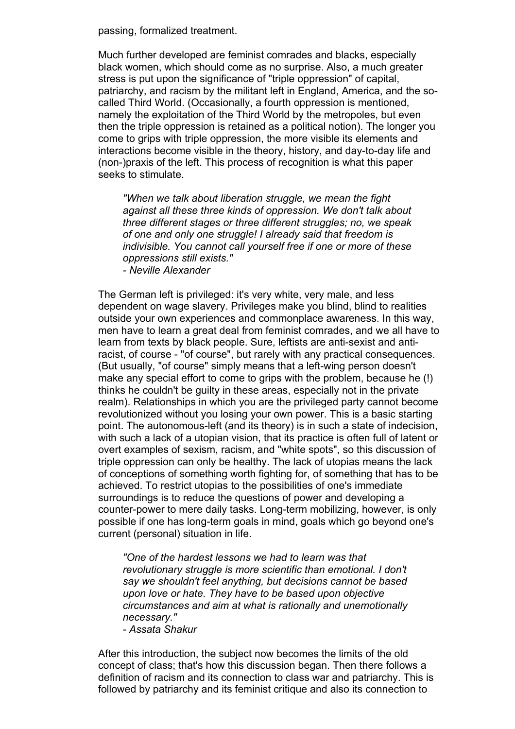passing, formalized treatment.

Much further developed are feminist comrades and blacks, especially black women, which should come as no surprise. Also, a much greater stress is put upon the significance of "triple oppression" of capital, patriarchy, and racism by the militant left in England, America, and the socalled Third World. (Occasionally, a fourth oppression is mentioned, namely the exploitation of the Third World by the metropoles, but even then the triple oppression is retained as a political notion). The longer you come to grips with triple oppression, the more visible its elements and interactions become visible in the theory, history, and day-to-day life and (non-)praxis of the left. This process of recognition is what this paper seeks to stimulate.

*"When we talk about liberation struggle, we mean the fight against all these three kinds of oppression. We don't talk about three different stages or three different struggles; no, we speak of one and only one struggle! I already said that freedom is indivisible. You cannot call yourself free if one or more of these oppressions still exists."*

*- Neville Alexander*

The German left is privileged: it's very white, very male, and less dependent on wage slavery. Privileges make you blind, blind to realities outside your own experiences and commonplace awareness. In this way, men have to learn a great deal from feminist comrades, and we all have to learn from texts by black people. Sure, leftists are anti-sexist and antiracist, of course - "of course", but rarely with any practical consequences. (But usually, "of course" simply means that a left-wing person doesn't make any special effort to come to grips with the problem, because he (!) thinks he couldn't be guilty in these areas, especially not in the private realm). Relationships in which you are the privileged party cannot become revolutionized without you losing your own power. This is a basic starting point. The autonomous-left (and its theory) is in such a state of indecision, with such a lack of a utopian vision, that its practice is often full of latent or overt examples of sexism, racism, and "white spots", so this discussion of triple oppression can only be healthy. The lack of utopias means the lack of conceptions of something worth fighting for, of something that has to be achieved. To restrict utopias to the possibilities of one's immediate surroundings is to reduce the questions of power and developing a counter-power to mere daily tasks. Long-term mobilizing, however, is only possible if one has long-term goals in mind, goals which go beyond one's current (personal) situation in life.

*"One of the hardest lessons we had to learn was that revolutionary struggle is more scientific than emotional. I don't say we shouldn't feel anything, but decisions cannot be based upon love or hate. They have to be based upon objective circumstances and aim at what is rationally and unemotionally necessary."*

*- Assata Shakur*

After this introduction, the subject now becomes the limits of the old concept of class; that's how this discussion began. Then there follows a definition of racism and its connection to class war and patriarchy. This is followed by patriarchy and its feminist critique and also its connection to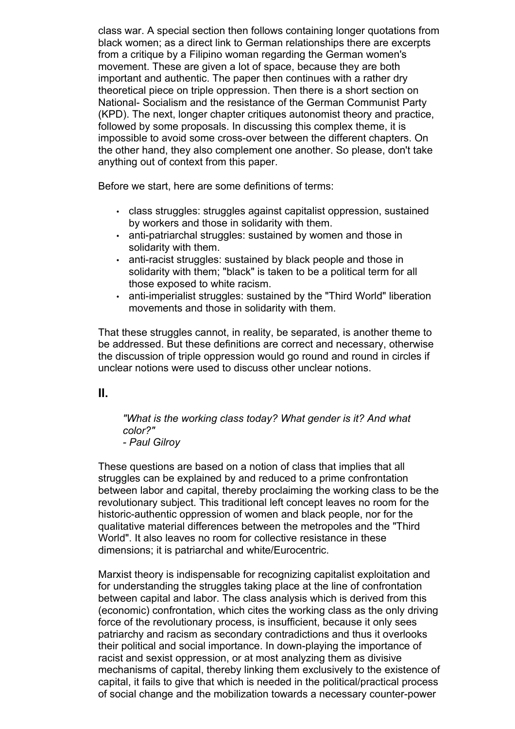class war. A special section then follows containing longer quotations from black women; as a direct link to German relationships there are excerpts from a critique by a Filipino woman regarding the German women's movement. These are given a lot of space, because they are both important and authentic. The paper then continues with a rather dry theoretical piece on triple oppression. Then there is a short section on National- Socialism and the resistance of the German Communist Party (KPD). The next, longer chapter critiques autonomist theory and practice, followed by some proposals. In discussing this complex theme, it is impossible to avoid some cross-over between the different chapters. On the other hand, they also complement one another. So please, don't take anything out of context from this paper.

Before we start, here are some definitions of terms:

- class struggles: struggles against capitalist oppression, sustained by workers and those in solidarity with them.
- anti-patriarchal struggles: sustained by women and those in solidarity with them.
- anti-racist struggles: sustained by black people and those in solidarity with them; "black" is taken to be a political term for all those exposed to white racism.
- anti-imperialist struggles: sustained by the "Third World" liberation movements and those in solidarity with them.

That these struggles cannot, in reality, be separated, is another theme to be addressed. But these definitions are correct and necessary, otherwise the discussion of triple oppression would go round and round in circles if unclear notions were used to discuss other unclear notions.

**II.**

# *"What is the working class today? What gender is it? And what color?"*

*- Paul Gilroy*

These questions are based on a notion of class that implies that all struggles can be explained by and reduced to a prime confrontation between labor and capital, thereby proclaiming the working class to be the revolutionary subject. This traditional left concept leaves no room for the historic-authentic oppression of women and black people, nor for the qualitative material differences between the metropoles and the "Third World". It also leaves no room for collective resistance in these dimensions; it is patriarchal and white/Eurocentric.

Marxist theory is indispensable for recognizing capitalist exploitation and for understanding the struggles taking place at the line of confrontation between capital and labor. The class analysis which is derived from this (economic) confrontation, which cites the working class as the only driving force of the revolutionary process, is insufficient, because it only sees patriarchy and racism as secondary contradictions and thus it overlooks their political and social importance. In down-playing the importance of racist and sexist oppression, or at most analyzing them as divisive mechanisms of capital, thereby linking them exclusively to the existence of capital, it fails to give that which is needed in the political/practical process of social change and the mobilization towards a necessary counter-power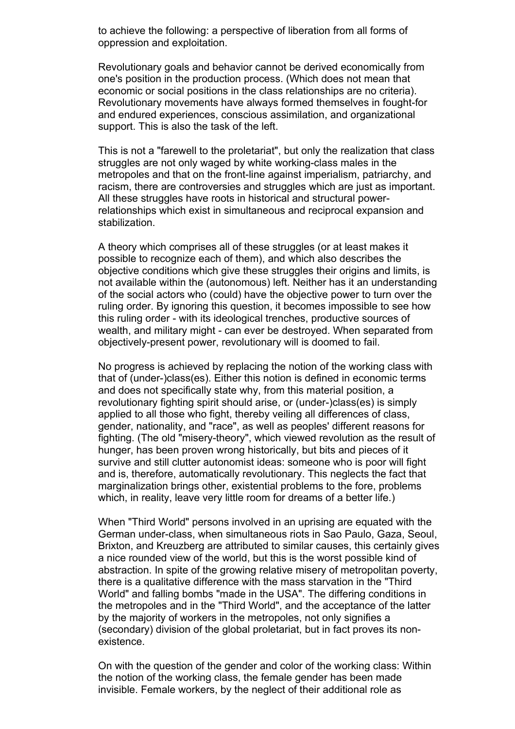to achieve the following: a perspective of liberation from all forms of oppression and exploitation.

Revolutionary goals and behavior cannot be derived economically from one's position in the production process. (Which does not mean that economic or social positions in the class relationships are no criteria). Revolutionary movements have always formed themselves in fought-for and endured experiences, conscious assimilation, and organizational support. This is also the task of the left.

This is not a "farewell to the proletariat", but only the realization that class struggles are not only waged by white working-class males in the metropoles and that on the front-line against imperialism, patriarchy, and racism, there are controversies and struggles which are just as important. All these struggles have roots in historical and structural powerrelationships which exist in simultaneous and reciprocal expansion and stabilization.

A theory which comprises all of these struggles (or at least makes it possible to recognize each of them), and which also describes the objective conditions which give these struggles their origins and limits, is not available within the (autonomous) left. Neither has it an understanding of the social actors who (could) have the objective power to turn over the ruling order. By ignoring this question, it becomes impossible to see how this ruling order - with its ideological trenches, productive sources of wealth, and military might - can ever be destroyed. When separated from objectively-present power, revolutionary will is doomed to fail.

No progress is achieved by replacing the notion of the working class with that of (under-)class(es). Either this notion is defined in economic terms and does not specifically state why, from this material position, a revolutionary fighting spirit should arise, or (under-)class(es) is simply applied to all those who fight, thereby veiling all differences of class, gender, nationality, and "race", as well as peoples' different reasons for fighting. (The old "misery-theory", which viewed revolution as the result of hunger, has been proven wrong historically, but bits and pieces of it survive and still clutter autonomist ideas: someone who is poor will fight and is, therefore, automatically revolutionary. This neglects the fact that marginalization brings other, existential problems to the fore, problems which, in reality, leave very little room for dreams of a better life.)

When "Third World" persons involved in an uprising are equated with the German under-class, when simultaneous riots in Sao Paulo, Gaza, Seoul, Brixton, and Kreuzberg are attributed to similar causes, this certainly gives a nice rounded view of the world, but this is the worst possible kind of abstraction. In spite of the growing relative misery of metropolitan poverty, there is a qualitative difference with the mass starvation in the "Third World" and falling bombs "made in the USA". The differing conditions in the metropoles and in the "Third World", and the acceptance of the latter by the majority of workers in the metropoles, not only signifies a (secondary) division of the global proletariat, but in fact proves its nonexistence.

On with the question of the gender and color of the working class: Within the notion of the working class, the female gender has been made invisible. Female workers, by the neglect of their additional role as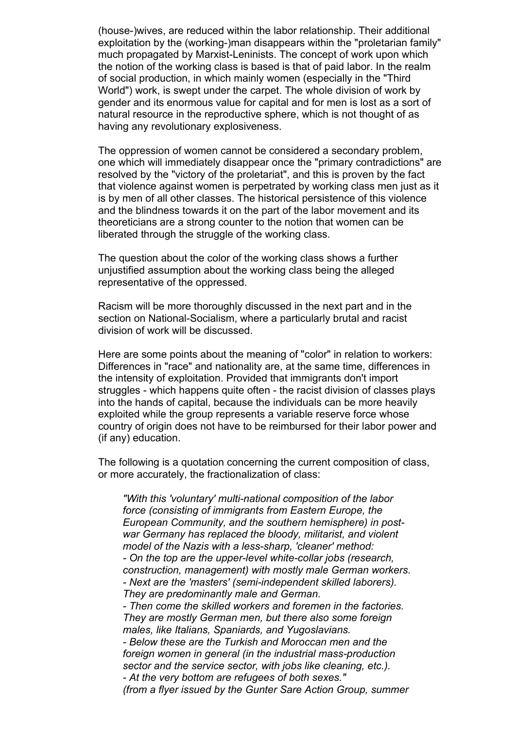(house-)wives, are reduced within the labor relationship. Their additional exploitation by the (working-)man disappears within the "proletarian family" much propagated by Marxist-Leninists. The concept of work upon which the notion of the working class is based is that of paid labor. In the realm of social production, in which mainly women (especially in the "Third World") work, is swept under the carpet. The whole division of work by gender and its enormous value for capital and for men is lost as a sort of natural resource in the reproductive sphere, which is not thought of as having any revolutionary explosiveness.

The oppression of women cannot be considered a secondary problem, one which will immediately disappear once the "primary contradictions" are resolved by the "victory of the proletariat", and this is proven by the fact that violence against women is perpetrated by working class men just as it is by men of all other classes. The historical persistence of this violence and the blindness towards it on the part of the labor movement and its theoreticians are a strong counter to the notion that women can be liberated through the struggle of the working class.

The question about the color of the working class shows a further unjustified assumption about the working class being the alleged representative of the oppressed.

Racism will be more thoroughly discussed in the next part and in the section on National-Socialism, where a particularly brutal and racist division of work will be discussed.

Here are some points about the meaning of "color" in relation to workers: Differences in "race" and nationality are, at the same time, differences in the intensity of exploitation. Provided that immigrants don't import struggles - which happens quite often - the racist division of classes plays into the hands of capital, because the individuals can be more heavily exploited while the group represents a variable reserve force whose country of origin does not have to be reimbursed for their labor power and (if any) education.

The following is a quotation concerning the current composition of class, or more accurately, the fractionalization of class:

*"With this 'voluntary' multi-national composition of the labor force (consisting of immigrants from Eastern Europe, the European Community, and the southern hemisphere) in postwar Germany has replaced the bloody, militarist, and violent model of the Nazis with a less-sharp, 'cleaner' method: - On the top are the upper-level white-collar jobs (research, construction, management) with mostly male German workers. - Next are the 'masters' (semi-independent skilled laborers). They are predominantly male and German. - Then come the skilled workers and foremen in the factories. They are mostly German men, but there also some foreign males, like Italians, Spaniards, and Yugoslavians. - Below these are the Turkish and Moroccan men and the foreign women in general (in the industrial mass-production sector and the service sector, with jobs like cleaning, etc.). - At the very bottom are refugees of both sexes." (from a flyer issued by the Gunter Sare Action Group, summer*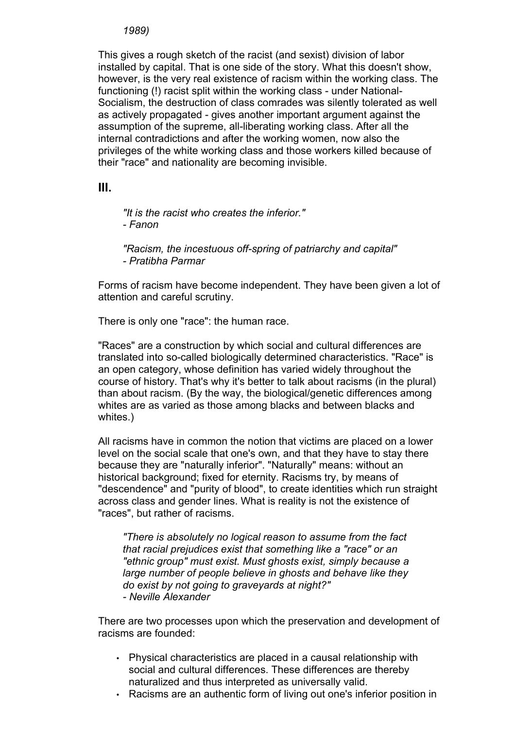#### *1989)*

This gives a rough sketch of the racist (and sexist) division of labor installed by capital. That is one side of the story. What this doesn't show, however, is the very real existence of racism within the working class. The functioning (!) racist split within the working class - under National-Socialism, the destruction of class comrades was silently tolerated as well as actively propagated - gives another important argument against the assumption of the supreme, all-liberating working class. After all the internal contradictions and after the working women, now also the privileges of the white working class and those workers killed because of their "race" and nationality are becoming invisible.

**III.**

*"It is the racist who creates the inferior." - Fanon*

*"Racism, the incestuous off-spring of patriarchy and capital" - Pratibha Parmar*

Forms of racism have become independent. They have been given a lot of attention and careful scrutiny.

There is only one "race": the human race.

"Races" are a construction by which social and cultural differences are translated into so-called biologically determined characteristics. "Race" is an open category, whose definition has varied widely throughout the course of history. That's why it's better to talk about racisms (in the plural) than about racism. (By the way, the biological/genetic differences among whites are as varied as those among blacks and between blacks and whites.)

All racisms have in common the notion that victims are placed on a lower level on the social scale that one's own, and that they have to stay there because they are "naturally inferior". "Naturally" means: without an historical background; fixed for eternity. Racisms try, by means of "descendence" and "purity of blood", to create identities which run straight across class and gender lines. What is reality is not the existence of "races", but rather of racisms.

*"There is absolutely no logical reason to assume from the fact that racial prejudices exist that something like a "race" or an "ethnic group" must exist. Must ghosts exist, simply because a large number of people believe in ghosts and behave like they do exist by not going to graveyards at night?" - Neville Alexander*

There are two processes upon which the preservation and development of racisms are founded:

- Physical characteristics are placed in a causal relationship with social and cultural differences. These differences are thereby naturalized and thus interpreted as universally valid.
- Racisms are an authentic form of living out one's inferior position in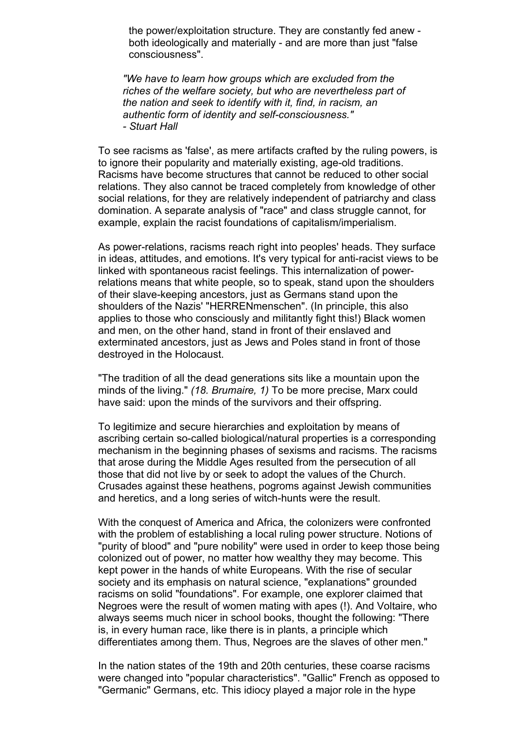the power/exploitation structure. They are constantly fed anew both ideologically and materially - and are more than just "false consciousness".

*"We have to learn how groups which are excluded from the riches of the welfare society, but who are nevertheless part of the nation and seek to identify with it, find, in racism, an authentic form of identity and self-consciousness." - Stuart Hall*

To see racisms as 'false', as mere artifacts crafted by the ruling powers, is to ignore their popularity and materially existing, age-old traditions. Racisms have become structures that cannot be reduced to other social relations. They also cannot be traced completely from knowledge of other social relations, for they are relatively independent of patriarchy and class domination. A separate analysis of "race" and class struggle cannot, for example, explain the racist foundations of capitalism/imperialism.

As power-relations, racisms reach right into peoples' heads. They surface in ideas, attitudes, and emotions. It's very typical for anti-racist views to be linked with spontaneous racist feelings. This internalization of powerrelations means that white people, so to speak, stand upon the shoulders of their slave-keeping ancestors, just as Germans stand upon the shoulders of the Nazis' "HERRENmenschen". (In principle, this also applies to those who consciously and militantly fight this!) Black women and men, on the other hand, stand in front of their enslaved and exterminated ancestors, just as Jews and Poles stand in front of those destroyed in the Holocaust.

"The tradition of all the dead generations sits like a mountain upon the minds of the living." *(18. Brumaire, 1)* To be more precise, Marx could have said: upon the minds of the survivors and their offspring.

To legitimize and secure hierarchies and exploitation by means of ascribing certain so-called biological/natural properties is a corresponding mechanism in the beginning phases of sexisms and racisms. The racisms that arose during the Middle Ages resulted from the persecution of all those that did not live by or seek to adopt the values of the Church. Crusades against these heathens, pogroms against Jewish communities and heretics, and a long series of witch-hunts were the result.

With the conquest of America and Africa, the colonizers were confronted with the problem of establishing a local ruling power structure. Notions of "purity of blood" and "pure nobility" were used in order to keep those being colonized out of power, no matter how wealthy they may become. This kept power in the hands of white Europeans. With the rise of secular society and its emphasis on natural science, "explanations" grounded racisms on solid "foundations". For example, one explorer claimed that Negroes were the result of women mating with apes (!). And Voltaire, who always seems much nicer in school books, thought the following: "There is, in every human race, like there is in plants, a principle which differentiates among them. Thus, Negroes are the slaves of other men."

In the nation states of the 19th and 20th centuries, these coarse racisms were changed into "popular characteristics". "Gallic" French as opposed to "Germanic" Germans, etc. This idiocy played a major role in the hype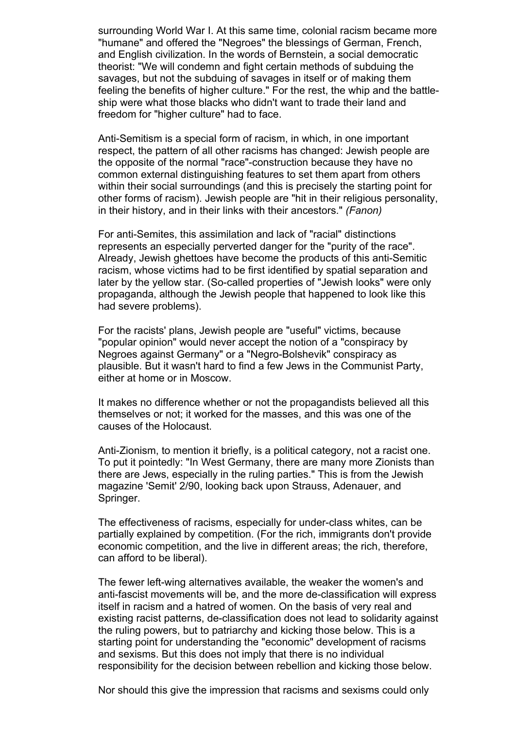surrounding World War I. At this same time, colonial racism became more "humane" and offered the "Negroes" the blessings of German, French, and English civilization. In the words of Bernstein, a social democratic theorist: "We will condemn and fight certain methods of subduing the savages, but not the subduing of savages in itself or of making them feeling the benefits of higher culture." For the rest, the whip and the battleship were what those blacks who didn't want to trade their land and freedom for "higher culture" had to face.

Anti-Semitism is a special form of racism, in which, in one important respect, the pattern of all other racisms has changed: Jewish people are the opposite of the normal "race"-construction because they have no common external distinguishing features to set them apart from others within their social surroundings (and this is precisely the starting point for other forms of racism). Jewish people are "hit in their religious personality, in their history, and in their links with their ancestors." *(Fanon)*

For anti-Semites, this assimilation and lack of "racial" distinctions represents an especially perverted danger for the "purity of the race". Already, Jewish ghettoes have become the products of this anti-Semitic racism, whose victims had to be first identified by spatial separation and later by the yellow star. (So-called properties of "Jewish looks" were only propaganda, although the Jewish people that happened to look like this had severe problems).

For the racists' plans, Jewish people are "useful" victims, because "popular opinion" would never accept the notion of a "conspiracy by Negroes against Germany" or a "Negro-Bolshevik" conspiracy as plausible. But it wasn't hard to find a few Jews in the Communist Party, either at home or in Moscow.

It makes no difference whether or not the propagandists believed all this themselves or not; it worked for the masses, and this was one of the causes of the Holocaust.

Anti-Zionism, to mention it briefly, is a political category, not a racist one. To put it pointedly: "In West Germany, there are many more Zionists than there are Jews, especially in the ruling parties." This is from the Jewish magazine 'Semit' 2/90, looking back upon Strauss, Adenauer, and Springer.

The effectiveness of racisms, especially for under-class whites, can be partially explained by competition. (For the rich, immigrants don't provide economic competition, and the live in different areas; the rich, therefore, can afford to be liberal).

The fewer left-wing alternatives available, the weaker the women's and anti-fascist movements will be, and the more de-classification will express itself in racism and a hatred of women. On the basis of very real and existing racist patterns, de-classification does not lead to solidarity against the ruling powers, but to patriarchy and kicking those below. This is a starting point for understanding the "economic" development of racisms and sexisms. But this does not imply that there is no individual responsibility for the decision between rebellion and kicking those below.

Nor should this give the impression that racisms and sexisms could only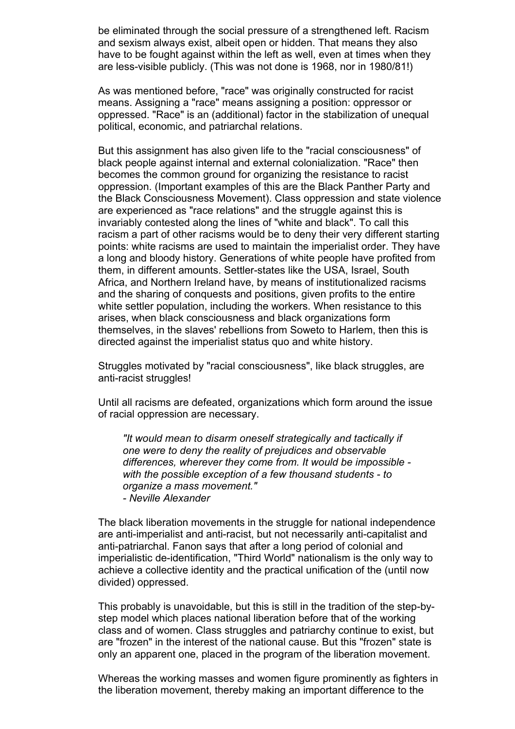be eliminated through the social pressure of a strengthened left. Racism and sexism always exist, albeit open or hidden. That means they also have to be fought against within the left as well, even at times when they are less-visible publicly. (This was not done is 1968, nor in 1980/81!)

As was mentioned before, "race" was originally constructed for racist means. Assigning a "race" means assigning a position: oppressor or oppressed. "Race" is an (additional) factor in the stabilization of unequal political, economic, and patriarchal relations.

But this assignment has also given life to the "racial consciousness" of black people against internal and external colonialization. "Race" then becomes the common ground for organizing the resistance to racist oppression. (Important examples of this are the Black Panther Party and the Black Consciousness Movement). Class oppression and state violence are experienced as "race relations" and the struggle against this is invariably contested along the lines of "white and black". To call this racism a part of other racisms would be to deny their very different starting points: white racisms are used to maintain the imperialist order. They have a long and bloody history. Generations of white people have profited from them, in different amounts. Settler-states like the USA, Israel, South Africa, and Northern Ireland have, by means of institutionalized racisms and the sharing of conquests and positions, given profits to the entire white settler population, including the workers. When resistance to this arises, when black consciousness and black organizations form themselves, in the slaves' rebellions from Soweto to Harlem, then this is directed against the imperialist status quo and white history.

Struggles motivated by "racial consciousness", like black struggles, are anti-racist struggles!

Until all racisms are defeated, organizations which form around the issue of racial oppression are necessary.

*"It would mean to disarm oneself strategically and tactically if one were to deny the reality of prejudices and observable differences, wherever they come from. It would be impossible with the possible exception of a few thousand students - to organize a mass movement." - Neville Alexander*

The black liberation movements in the struggle for national independence are anti-imperialist and anti-racist, but not necessarily anti-capitalist and anti-patriarchal. Fanon says that after a long period of colonial and imperialistic de-identification, "Third World" nationalism is the only way to achieve a collective identity and the practical unification of the (until now divided) oppressed.

This probably is unavoidable, but this is still in the tradition of the step-bystep model which places national liberation before that of the working class and of women. Class struggles and patriarchy continue to exist, but are "frozen" in the interest of the national cause. But this "frozen" state is only an apparent one, placed in the program of the liberation movement.

Whereas the working masses and women figure prominently as fighters in the liberation movement, thereby making an important difference to the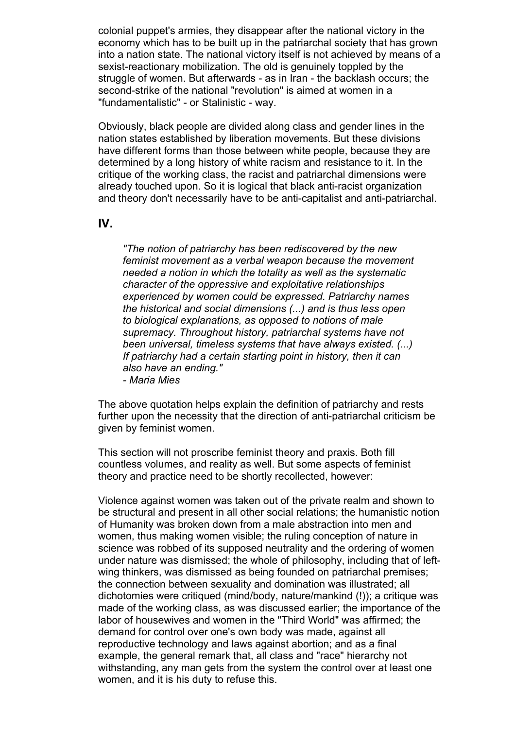colonial puppet's armies, they disappear after the national victory in the economy which has to be built up in the patriarchal society that has grown into a nation state. The national victory itself is not achieved by means of a sexist-reactionary mobilization. The old is genuinely toppled by the struggle of women. But afterwards - as in Iran - the backlash occurs; the second-strike of the national "revolution" is aimed at women in a "fundamentalistic" - or Stalinistic - way.

Obviously, black people are divided along class and gender lines in the nation states established by liberation movements. But these divisions have different forms than those between white people, because they are determined by a long history of white racism and resistance to it. In the critique of the working class, the racist and patriarchal dimensions were already touched upon. So it is logical that black anti-racist organization and theory don't necessarily have to be anti-capitalist and anti-patriarchal.

### **IV.**

*"The notion of patriarchy has been rediscovered by the new feminist movement as a verbal weapon because the movement needed a notion in which the totality as well as the systematic character of the oppressive and exploitative relationships experienced by women could be expressed. Patriarchy names the historical and social dimensions (...) and is thus less open to biological explanations, as opposed to notions of male supremacy. Throughout history, patriarchal systems have not been universal, timeless systems that have always existed. (...) If patriarchy had a certain starting point in history, then it can also have an ending." - Maria Mies*

The above quotation helps explain the definition of patriarchy and rests further upon the necessity that the direction of anti-patriarchal criticism be given by feminist women.

This section will not proscribe feminist theory and praxis. Both fill countless volumes, and reality as well. But some aspects of feminist theory and practice need to be shortly recollected, however:

Violence against women was taken out of the private realm and shown to be structural and present in all other social relations; the humanistic notion of Humanity was broken down from a male abstraction into men and women, thus making women visible; the ruling conception of nature in science was robbed of its supposed neutrality and the ordering of women under nature was dismissed; the whole of philosophy, including that of leftwing thinkers, was dismissed as being founded on patriarchal premises; the connection between sexuality and domination was illustrated; all dichotomies were critiqued (mind/body, nature/mankind (!)); a critique was made of the working class, as was discussed earlier; the importance of the labor of housewives and women in the "Third World" was affirmed; the demand for control over one's own body was made, against all reproductive technology and laws against abortion; and as a final example, the general remark that, all class and "race" hierarchy not withstanding, any man gets from the system the control over at least one women, and it is his duty to refuse this.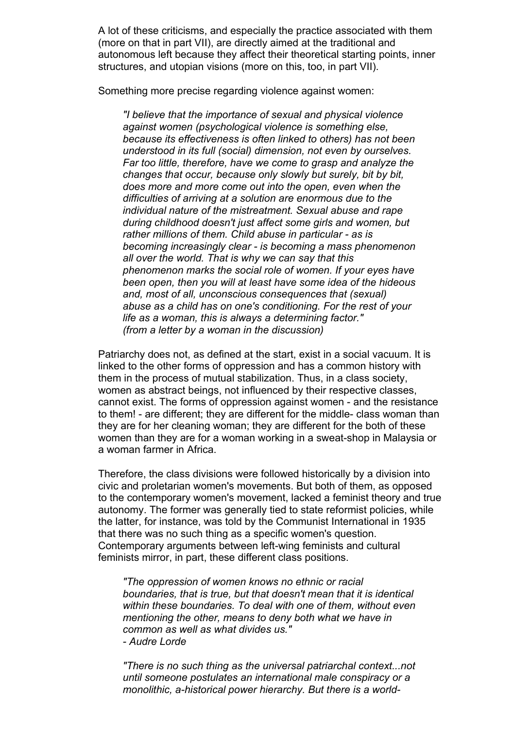A lot of these criticisms, and especially the practice associated with them (more on that in part VII), are directly aimed at the traditional and autonomous left because they affect their theoretical starting points, inner structures, and utopian visions (more on this, too, in part VII).

Something more precise regarding violence against women:

*"I believe that the importance of sexual and physical violence against women (psychological violence is something else, because its effectiveness is often linked to others) has not been understood in its full (social) dimension, not even by ourselves. Far too little, therefore, have we come to grasp and analyze the changes that occur, because only slowly but surely, bit by bit, does more and more come out into the open, even when the difficulties of arriving at a solution are enormous due to the individual nature of the mistreatment. Sexual abuse and rape during childhood doesn't just affect some girls and women, but rather millions of them. Child abuse in particular - as is becoming increasingly clear - is becoming a mass phenomenon all over the world. That is why we can say that this phenomenon marks the social role of women. If your eyes have been open, then you will at least have some idea of the hideous and, most of all, unconscious consequences that (sexual) abuse as a child has on one's conditioning. For the rest of your life as a woman, this is always a determining factor." (from a letter by a woman in the discussion)*

Patriarchy does not, as defined at the start, exist in a social vacuum. It is linked to the other forms of oppression and has a common history with them in the process of mutual stabilization. Thus, in a class society, women as abstract beings, not influenced by their respective classes, cannot exist. The forms of oppression against women - and the resistance to them! - are different; they are different for the middle- class woman than they are for her cleaning woman; they are different for the both of these women than they are for a woman working in a sweat-shop in Malaysia or a woman farmer in Africa.

Therefore, the class divisions were followed historically by a division into civic and proletarian women's movements. But both of them, as opposed to the contemporary women's movement, lacked a feminist theory and true autonomy. The former was generally tied to state reformist policies, while the latter, for instance, was told by the Communist International in 1935 that there was no such thing as a specific women's question. Contemporary arguments between left-wing feminists and cultural feminists mirror, in part, these different class positions.

*"The oppression of women knows no ethnic or racial boundaries, that is true, but that doesn't mean that it is identical within these boundaries. To deal with one of them, without even mentioning the other, means to deny both what we have in common as well as what divides us." - Audre Lorde*

*"There is no such thing as the universal patriarchal context...not until someone postulates an international male conspiracy or a monolithic, a-historical power hierarchy. But there is a world-*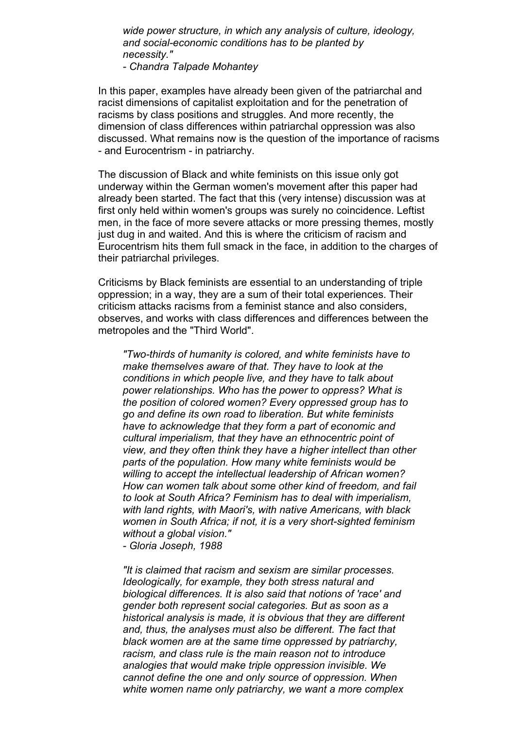*wide power structure, in which any analysis of culture, ideology, and social-economic conditions has to be planted by necessity."*

*- Chandra Talpade Mohantey*

In this paper, examples have already been given of the patriarchal and racist dimensions of capitalist exploitation and for the penetration of racisms by class positions and struggles. And more recently, the dimension of class differences within patriarchal oppression was also discussed. What remains now is the question of the importance of racisms - and Eurocentrism - in patriarchy.

The discussion of Black and white feminists on this issue only got underway within the German women's movement after this paper had already been started. The fact that this (very intense) discussion was at first only held within women's groups was surely no coincidence. Leftist men, in the face of more severe attacks or more pressing themes, mostly just dug in and waited. And this is where the criticism of racism and Eurocentrism hits them full smack in the face, in addition to the charges of their patriarchal privileges.

Criticisms by Black feminists are essential to an understanding of triple oppression; in a way, they are a sum of their total experiences. Their criticism attacks racisms from a feminist stance and also considers, observes, and works with class differences and differences between the metropoles and the "Third World".

*"Two-thirds of humanity is colored, and white feminists have to make themselves aware of that. They have to look at the conditions in which people live, and they have to talk about power relationships. Who has the power to oppress? What is the position of colored women? Every oppressed group has to go and define its own road to liberation. But white feminists have to acknowledge that they form a part of economic and cultural imperialism, that they have an ethnocentric point of view, and they often think they have a higher intellect than other parts of the population. How many white feminists would be willing to accept the intellectual leadership of African women? How can women talk about some other kind of freedom, and fail to look at South Africa? Feminism has to deal with imperialism, with land rights, with Maori's, with native Americans, with black women in South Africa; if not, it is a very short-sighted feminism without a global vision."*

*- Gloria Joseph, 1988*

*"It is claimed that racism and sexism are similar processes. Ideologically, for example, they both stress natural and biological differences. It is also said that notions of 'race' and gender both represent social categories. But as soon as a historical analysis is made, it is obvious that they are different and, thus, the analyses must also be different. The fact that black women are at the same time oppressed by patriarchy, racism, and class rule is the main reason not to introduce analogies that would make triple oppression invisible. We cannot define the one and only source of oppression. When white women name only patriarchy, we want a more complex*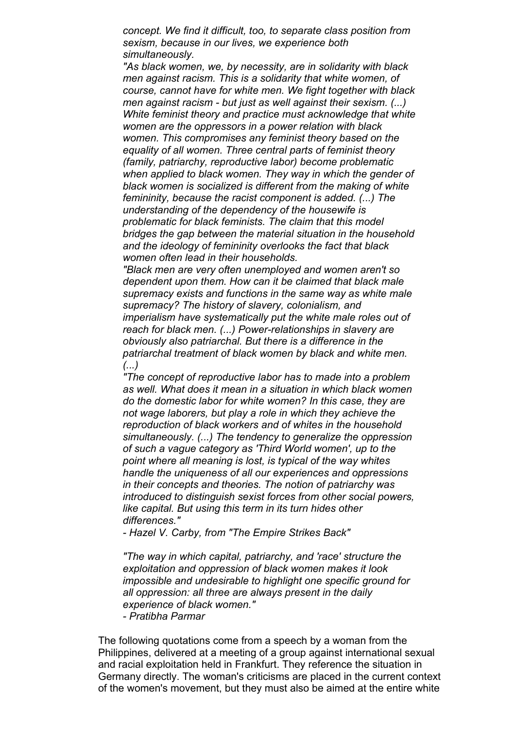*concept. We find it difficult, too, to separate class position from sexism, because in our lives, we experience both simultaneously.*

*"As black women, we, by necessity, are in solidarity with black men against racism. This is a solidarity that white women, of course, cannot have for white men. We fight together with black men against racism - but just as well against their sexism. (...) White feminist theory and practice must acknowledge that white women are the oppressors in a power relation with black women. This compromises any feminist theory based on the equality of all women. Three central parts of feminist theory (family, patriarchy, reproductive labor) become problematic when applied to black women. They way in which the gender of black women is socialized is different from the making of white femininity, because the racist component is added. (...) The understanding of the dependency of the housewife is problematic for black feminists. The claim that this model bridges the gap between the material situation in the household and the ideology of femininity overlooks the fact that black women often lead in their households.*

*"Black men are very often unemployed and women aren't so dependent upon them. How can it be claimed that black male supremacy exists and functions in the same way as white male supremacy? The history of slavery, colonialism, and imperialism have systematically put the white male roles out of reach for black men. (...) Power-relationships in slavery are obviously also patriarchal. But there is a difference in the patriarchal treatment of black women by black and white men. (...)*

*"The concept of reproductive labor has to made into a problem as well. What does it mean in a situation in which black women do the domestic labor for white women? In this case, they are not wage laborers, but play a role in which they achieve the reproduction of black workers and of whites in the household simultaneously. (...) The tendency to generalize the oppression of such a vague category as 'Third World women', up to the point where all meaning is lost, is typical of the way whites handle the uniqueness of all our experiences and oppressions in their concepts and theories. The notion of patriarchy was introduced to distinguish sexist forces from other social powers, like capital. But using this term in its turn hides other differences."*

*- Hazel V. Carby, from "The Empire Strikes Back"*

*"The way in which capital, patriarchy, and 'race' structure the exploitation and oppression of black women makes it look impossible and undesirable to highlight one specific ground for all oppression: all three are always present in the daily experience of black women."*

*- Pratibha Parmar*

The following quotations come from a speech by a woman from the Philippines, delivered at a meeting of a group against international sexual and racial exploitation held in Frankfurt. They reference the situation in Germany directly. The woman's criticisms are placed in the current context of the women's movement, but they must also be aimed at the entire white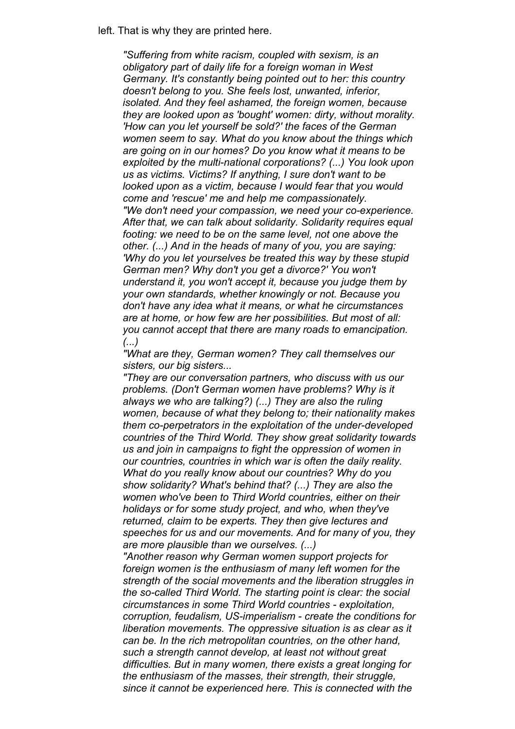left. That is why they are printed here.

*"Suffering from white racism, coupled with sexism, is an obligatory part of daily life for a foreign woman in West Germany. It's constantly being pointed out to her: this country doesn't belong to you. She feels lost, unwanted, inferior, isolated. And they feel ashamed, the foreign women, because they are looked upon as 'bought' women: dirty, without morality. 'How can you let yourself be sold?' the faces of the German women seem to say. What do you know about the things which are going on in our homes? Do you know what it means to be exploited by the multi-national corporations? (...) You look upon us as victims. Victims? If anything, I sure don't want to be looked upon as a victim, because I would fear that you would come and 'rescue' me and help me compassionately. "We don't need your compassion, we need your co-experience. After that, we can talk about solidarity. Solidarity requires equal footing: we need to be on the same level, not one above the other. (...) And in the heads of many of you, you are saying: 'Why do you let yourselves be treated this way by these stupid German men? Why don't you get a divorce?' You won't understand it, you won't accept it, because you judge them by your own standards, whether knowingly or not. Because you don't have any idea what it means, or what he circumstances are at home, or how few are her possibilities. But most of all: you cannot accept that there are many roads to emancipation. (...)*

*"What are they, German women? They call themselves our sisters, our big sisters...*

*"They are our conversation partners, who discuss with us our problems. (Don't German women have problems? Why is it always we who are talking?) (...) They are also the ruling women, because of what they belong to; their nationality makes them co-perpetrators in the exploitation of the under-developed countries of the Third World. They show great solidarity towards us and join in campaigns to fight the oppression of women in our countries, countries in which war is often the daily reality. What do you really know about our countries? Why do you show solidarity? What's behind that? (...) They are also the women who've been to Third World countries, either on their holidays or for some study project, and who, when they've returned, claim to be experts. They then give lectures and speeches for us and our movements. And for many of you, they are more plausible than we ourselves. (...)*

*"Another reason why German women support projects for foreign women is the enthusiasm of many left women for the strength of the social movements and the liberation struggles in the so-called Third World. The starting point is clear: the social circumstances in some Third World countries - exploitation, corruption, feudalism, US-imperialism - create the conditions for liberation movements. The oppressive situation is as clear as it can be. In the rich metropolitan countries, on the other hand, such a strength cannot develop, at least not without great difficulties. But in many women, there exists a great longing for the enthusiasm of the masses, their strength, their struggle, since it cannot be experienced here. This is connected with the*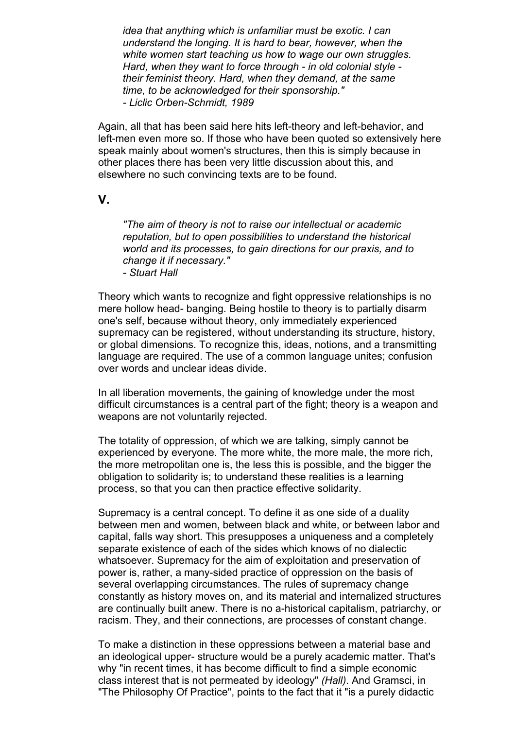*idea that anything which is unfamiliar must be exotic. I can understand the longing. It is hard to bear, however, when the white women start teaching us how to wage our own struggles. Hard, when they want to force through - in old colonial style their feminist theory. Hard, when they demand, at the same time, to be acknowledged for their sponsorship." - Liclic Orben-Schmidt, 1989*

Again, all that has been said here hits left-theory and left-behavior, and left-men even more so. If those who have been quoted so extensively here speak mainly about women's structures, then this is simply because in other places there has been very little discussion about this, and elsewhere no such convincing texts are to be found.

## **V.**

*"The aim of theory is not to raise our intellectual or academic reputation, but to open possibilities to understand the historical world and its processes, to gain directions for our praxis, and to change it if necessary." - Stuart Hall*

Theory which wants to recognize and fight oppressive relationships is no mere hollow head- banging. Being hostile to theory is to partially disarm one's self, because without theory, only immediately experienced supremacy can be registered, without understanding its structure, history, or global dimensions. To recognize this, ideas, notions, and a transmitting language are required. The use of a common language unites; confusion over words and unclear ideas divide.

In all liberation movements, the gaining of knowledge under the most difficult circumstances is a central part of the fight; theory is a weapon and weapons are not voluntarily rejected.

The totality of oppression, of which we are talking, simply cannot be experienced by everyone. The more white, the more male, the more rich, the more metropolitan one is, the less this is possible, and the bigger the obligation to solidarity is; to understand these realities is a learning process, so that you can then practice effective solidarity.

Supremacy is a central concept. To define it as one side of a duality between men and women, between black and white, or between labor and capital, falls way short. This presupposes a uniqueness and a completely separate existence of each of the sides which knows of no dialectic whatsoever. Supremacy for the aim of exploitation and preservation of power is, rather, a many-sided practice of oppression on the basis of several overlapping circumstances. The rules of supremacy change constantly as history moves on, and its material and internalized structures are continually built anew. There is no a-historical capitalism, patriarchy, or racism. They, and their connections, are processes of constant change.

To make a distinction in these oppressions between a material base and an ideological upper- structure would be a purely academic matter. That's why "in recent times, it has become difficult to find a simple economic class interest that is not permeated by ideology" *(Hall)*. And Gramsci, in "The Philosophy Of Practice", points to the fact that it "is a purely didactic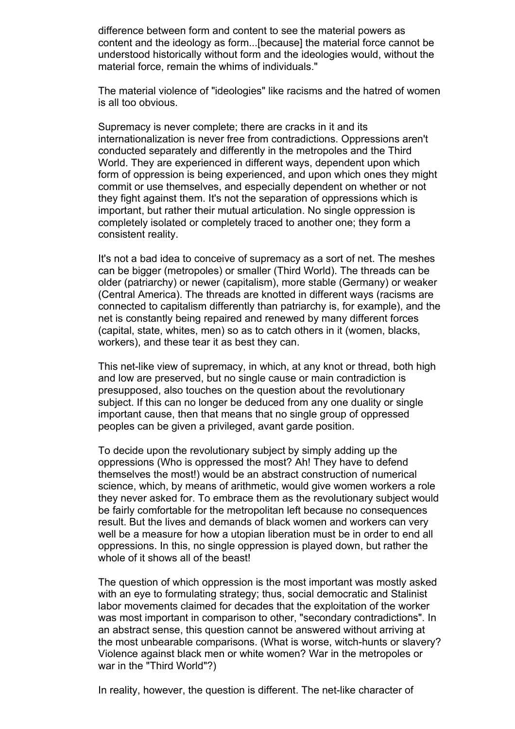difference between form and content to see the material powers as content and the ideology as form...[because] the material force cannot be understood historically without form and the ideologies would, without the material force, remain the whims of individuals."

The material violence of "ideologies" like racisms and the hatred of women is all too obvious.

Supremacy is never complete; there are cracks in it and its internationalization is never free from contradictions. Oppressions aren't conducted separately and differently in the metropoles and the Third World. They are experienced in different ways, dependent upon which form of oppression is being experienced, and upon which ones they might commit or use themselves, and especially dependent on whether or not they fight against them. It's not the separation of oppressions which is important, but rather their mutual articulation. No single oppression is completely isolated or completely traced to another one; they form a consistent reality.

It's not a bad idea to conceive of supremacy as a sort of net. The meshes can be bigger (metropoles) or smaller (Third World). The threads can be older (patriarchy) or newer (capitalism), more stable (Germany) or weaker (Central America). The threads are knotted in different ways (racisms are connected to capitalism differently than patriarchy is, for example), and the net is constantly being repaired and renewed by many different forces (capital, state, whites, men) so as to catch others in it (women, blacks, workers), and these tear it as best they can.

This net-like view of supremacy, in which, at any knot or thread, both high and low are preserved, but no single cause or main contradiction is presupposed, also touches on the question about the revolutionary subject. If this can no longer be deduced from any one duality or single important cause, then that means that no single group of oppressed peoples can be given a privileged, avant garde position.

To decide upon the revolutionary subject by simply adding up the oppressions (Who is oppressed the most? Ah! They have to defend themselves the most!) would be an abstract construction of numerical science, which, by means of arithmetic, would give women workers a role they never asked for. To embrace them as the revolutionary subject would be fairly comfortable for the metropolitan left because no consequences result. But the lives and demands of black women and workers can very well be a measure for how a utopian liberation must be in order to end all oppressions. In this, no single oppression is played down, but rather the whole of it shows all of the beast!

The question of which oppression is the most important was mostly asked with an eye to formulating strategy; thus, social democratic and Stalinist labor movements claimed for decades that the exploitation of the worker was most important in comparison to other, "secondary contradictions". In an abstract sense, this question cannot be answered without arriving at the most unbearable comparisons. (What is worse, witch-hunts or slavery? Violence against black men or white women? War in the metropoles or war in the "Third World"?)

In reality, however, the question is different. The net-like character of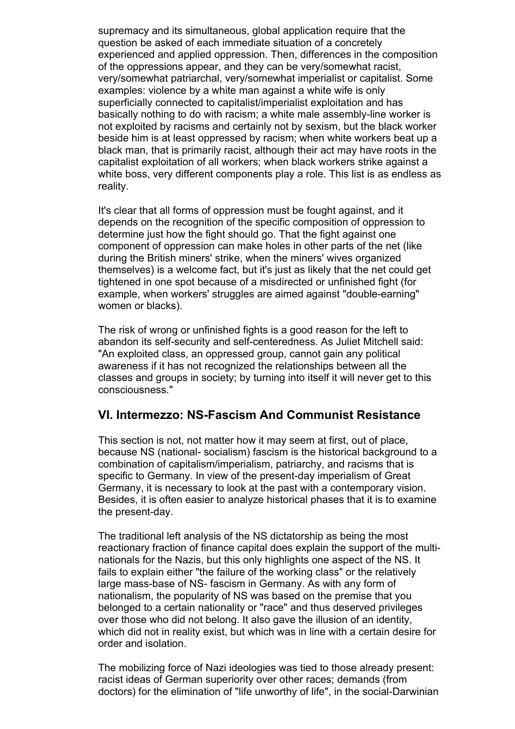supremacy and its simultaneous, global application require that the question be asked of each immediate situation of a concretely experienced and applied oppression. Then, differences in the composition of the oppressions appear, and they can be very/somewhat racist, very/somewhat patriarchal, very/somewhat imperialist or capitalist. Some examples: violence by a white man against a white wife is only superficially connected to capitalist/imperialist exploitation and has basically nothing to do with racism; a white male assembly-line worker is not exploited by racisms and certainly not by sexism, but the black worker beside him is at least oppressed by racism; when white workers beat up a black man, that is primarily racist, although their act may have roots in the capitalist exploitation of all workers; when black workers strike against a white boss, very different components play a role. This list is as endless as reality.

It's clear that all forms of oppression must be fought against, and it depends on the recognition of the specific composition of oppression to determine just how the fight should go. That the fight against one component of oppression can make holes in other parts of the net (like during the British miners' strike, when the miners' wives organized themselves) is a welcome fact, but it's just as likely that the net could get tightened in one spot because of a misdirected or unfinished fight (for example, when workers' struggles are aimed against "double-earning" women or blacks).

The risk of wrong or unfinished fights is a good reason for the left to abandon its self-security and self-centeredness. As Juliet Mitchell said: "An exploited class, an oppressed group, cannot gain any political awareness if it has not recognized the relationships between all the classes and groups in society; by turning into itself it will never get to this consciousness."

# **VI. Intermezzo: NS-Fascism And Communist Resistance**

This section is not, not matter how it may seem at first, out of place, because NS (national- socialism) fascism is the historical background to a combination of capitalism/imperialism, patriarchy, and racisms that is specific to Germany. In view of the present-day imperialism of Great Germany, it is necessary to look at the past with a contemporary vision. Besides, it is often easier to analyze historical phases that it is to examine the present-day.

The traditional left analysis of the NS dictatorship as being the most reactionary fraction of finance capital does explain the support of the multinationals for the Nazis, but this only highlights one aspect of the NS. It fails to explain either "the failure of the working class" or the relatively large mass-base of NS- fascism in Germany. As with any form of nationalism, the popularity of NS was based on the premise that you belonged to a certain nationality or "race" and thus deserved privileges over those who did not belong. It also gave the illusion of an identity, which did not in reality exist, but which was in line with a certain desire for order and isolation.

The mobilizing force of Nazi ideologies was tied to those already present: racist ideas of German superiority over other races; demands (from doctors) for the elimination of "life unworthy of life", in the social-Darwinian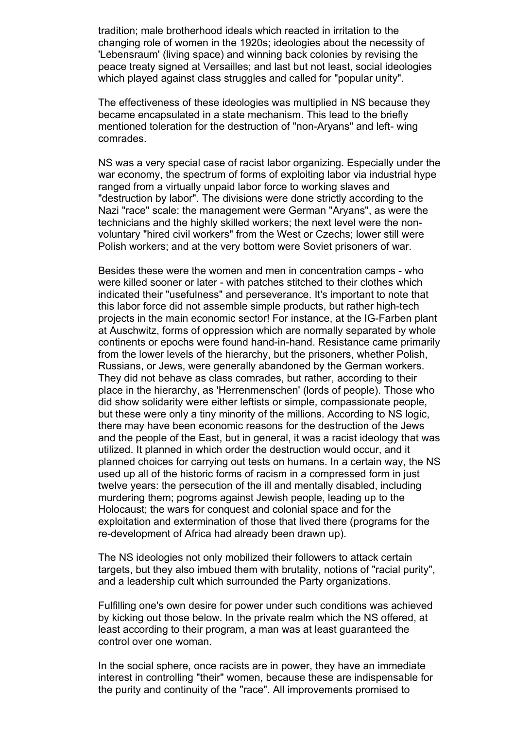tradition; male brotherhood ideals which reacted in irritation to the changing role of women in the 1920s; ideologies about the necessity of 'Lebensraum' (living space) and winning back colonies by revising the peace treaty signed at Versailles; and last but not least, social ideologies which played against class struggles and called for "popular unity".

The effectiveness of these ideologies was multiplied in NS because they became encapsulated in a state mechanism. This lead to the briefly mentioned toleration for the destruction of "non-Aryans" and left- wing comrades.

NS was a very special case of racist labor organizing. Especially under the war economy, the spectrum of forms of exploiting labor via industrial hype ranged from a virtually unpaid labor force to working slaves and "destruction by labor". The divisions were done strictly according to the Nazi "race" scale: the management were German "Aryans", as were the technicians and the highly skilled workers; the next level were the nonvoluntary "hired civil workers" from the West or Czechs; lower still were Polish workers; and at the very bottom were Soviet prisoners of war.

Besides these were the women and men in concentration camps - who were killed sooner or later - with patches stitched to their clothes which indicated their "usefulness" and perseverance. It's important to note that this labor force did not assemble simple products, but rather high-tech projects in the main economic sector! For instance, at the IG-Farben plant at Auschwitz, forms of oppression which are normally separated by whole continents or epochs were found hand-in-hand. Resistance came primarily from the lower levels of the hierarchy, but the prisoners, whether Polish, Russians, or Jews, were generally abandoned by the German workers. They did not behave as class comrades, but rather, according to their place in the hierarchy, as 'Herrenmenschen' (lords of people). Those who did show solidarity were either leftists or simple, compassionate people, but these were only a tiny minority of the millions. According to NS logic, there may have been economic reasons for the destruction of the Jews and the people of the East, but in general, it was a racist ideology that was utilized. It planned in which order the destruction would occur, and it planned choices for carrying out tests on humans. In a certain way, the NS used up all of the historic forms of racism in a compressed form in just twelve years: the persecution of the ill and mentally disabled, including murdering them; pogroms against Jewish people, leading up to the Holocaust; the wars for conquest and colonial space and for the exploitation and extermination of those that lived there (programs for the re-development of Africa had already been drawn up).

The NS ideologies not only mobilized their followers to attack certain targets, but they also imbued them with brutality, notions of "racial purity", and a leadership cult which surrounded the Party organizations.

Fulfilling one's own desire for power under such conditions was achieved by kicking out those below. In the private realm which the NS offered, at least according to their program, a man was at least guaranteed the control over one woman.

In the social sphere, once racists are in power, they have an immediate interest in controlling "their" women, because these are indispensable for the purity and continuity of the "race". All improvements promised to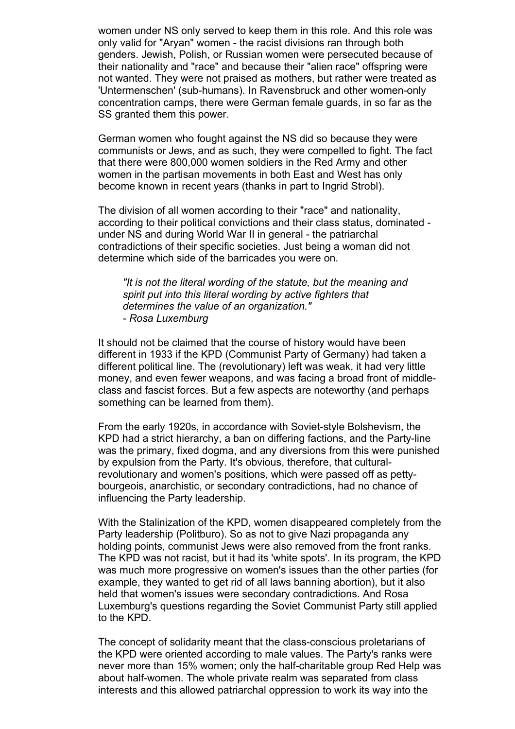women under NS only served to keep them in this role. And this role was only valid for "Aryan" women - the racist divisions ran through both genders. Jewish, Polish, or Russian women were persecuted because of their nationality and "race" and because their "alien race" offspring were not wanted. They were not praised as mothers, but rather were treated as 'Untermenschen' (sub-humans). In Ravensbruck and other women-only concentration camps, there were German female guards, in so far as the SS granted them this power.

German women who fought against the NS did so because they were communists or Jews, and as such, they were compelled to fight. The fact that there were 800,000 women soldiers in the Red Army and other women in the partisan movements in both East and West has only become known in recent years (thanks in part to Ingrid Strobl).

The division of all women according to their "race" and nationality, according to their political convictions and their class status, dominated under NS and during World War II in general - the patriarchal contradictions of their specific societies. Just being a woman did not determine which side of the barricades you were on.

*"It is not the literal wording of the statute, but the meaning and spirit put into this literal wording by active fighters that determines the value of an organization." - Rosa Luxemburg*

It should not be claimed that the course of history would have been different in 1933 if the KPD (Communist Party of Germany) had taken a different political line. The (revolutionary) left was weak, it had very little money, and even fewer weapons, and was facing a broad front of middleclass and fascist forces. But a few aspects are noteworthy (and perhaps something can be learned from them).

From the early 1920s, in accordance with Soviet-style Bolshevism, the KPD had a strict hierarchy, a ban on differing factions, and the Party-line was the primary, fixed dogma, and any diversions from this were punished by expulsion from the Party. It's obvious, therefore, that culturalrevolutionary and women's positions, which were passed off as pettybourgeois, anarchistic, or secondary contradictions, had no chance of influencing the Party leadership.

With the Stalinization of the KPD, women disappeared completely from the Party leadership (Politburo). So as not to give Nazi propaganda any holding points, communist Jews were also removed from the front ranks. The KPD was not racist, but it had its 'white spots'. In its program, the KPD was much more progressive on women's issues than the other parties (for example, they wanted to get rid of all laws banning abortion), but it also held that women's issues were secondary contradictions. And Rosa Luxemburg's questions regarding the Soviet Communist Party still applied to the KPD.

The concept of solidarity meant that the class-conscious proletarians of the KPD were oriented according to male values. The Party's ranks were never more than 15% women; only the half-charitable group Red Help was about half-women. The whole private realm was separated from class interests and this allowed patriarchal oppression to work its way into the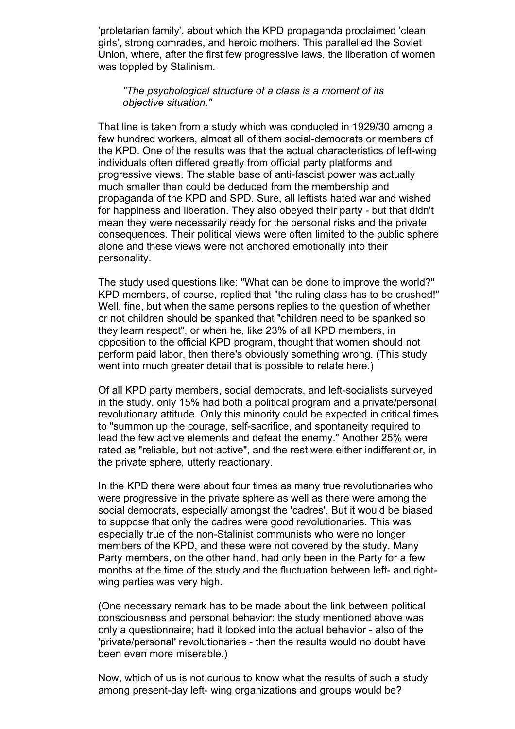'proletarian family', about which the KPD propaganda proclaimed 'clean girls', strong comrades, and heroic mothers. This parallelled the Soviet Union, where, after the first few progressive laws, the liberation of women was toppled by Stalinism.

#### *"The psychological structure of a class is a moment of its objective situation."*

That line is taken from a study which was conducted in 1929/30 among a few hundred workers, almost all of them social-democrats or members of the KPD. One of the results was that the actual characteristics of left-wing individuals often differed greatly from official party platforms and progressive views. The stable base of anti-fascist power was actually much smaller than could be deduced from the membership and propaganda of the KPD and SPD. Sure, all leftists hated war and wished for happiness and liberation. They also obeyed their party - but that didn't mean they were necessarily ready for the personal risks and the private consequences. Their political views were often limited to the public sphere alone and these views were not anchored emotionally into their personality.

The study used questions like: "What can be done to improve the world?" KPD members, of course, replied that "the ruling class has to be crushed!" Well, fine, but when the same persons replies to the question of whether or not children should be spanked that "children need to be spanked so they learn respect", or when he, like 23% of all KPD members, in opposition to the official KPD program, thought that women should not perform paid labor, then there's obviously something wrong. (This study went into much greater detail that is possible to relate here.)

Of all KPD party members, social democrats, and left-socialists surveyed in the study, only 15% had both a political program and a private/personal revolutionary attitude. Only this minority could be expected in critical times to "summon up the courage, self-sacrifice, and spontaneity required to lead the few active elements and defeat the enemy." Another 25% were rated as "reliable, but not active", and the rest were either indifferent or, in the private sphere, utterly reactionary.

In the KPD there were about four times as many true revolutionaries who were progressive in the private sphere as well as there were among the social democrats, especially amongst the 'cadres'. But it would be biased to suppose that only the cadres were good revolutionaries. This was especially true of the non-Stalinist communists who were no longer members of the KPD, and these were not covered by the study. Many Party members, on the other hand, had only been in the Party for a few months at the time of the study and the fluctuation between left- and rightwing parties was very high.

(One necessary remark has to be made about the link between political consciousness and personal behavior: the study mentioned above was only a questionnaire; had it looked into the actual behavior - also of the 'private/personal' revolutionaries - then the results would no doubt have been even more miserable.)

Now, which of us is not curious to know what the results of such a study among present-day left- wing organizations and groups would be?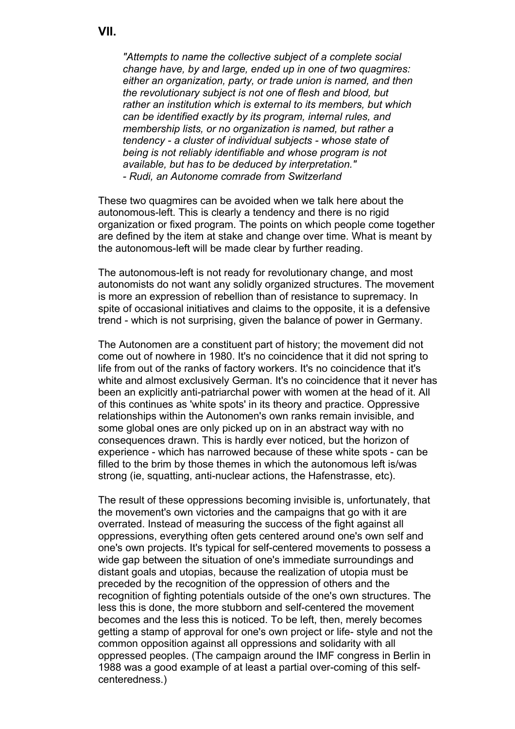**VII.**

*"Attempts to name the collective subject of a complete social change have, by and large, ended up in one of two quagmires: either an organization, party, or trade union is named, and then the revolutionary subject is not one of flesh and blood, but rather an institution which is external to its members, but which can be identified exactly by its program, internal rules, and membership lists, or no organization is named, but rather a tendency - a cluster of individual subjects - whose state of being is not reliably identifiable and whose program is not available, but has to be deduced by interpretation." - Rudi, an Autonome comrade from Switzerland*

These two quagmires can be avoided when we talk here about the autonomous-left. This is clearly a tendency and there is no rigid organization or fixed program. The points on which people come together are defined by the item at stake and change over time. What is meant by the autonomous-left will be made clear by further reading.

The autonomous-left is not ready for revolutionary change, and most autonomists do not want any solidly organized structures. The movement is more an expression of rebellion than of resistance to supremacy. In spite of occasional initiatives and claims to the opposite, it is a defensive trend - which is not surprising, given the balance of power in Germany.

The Autonomen are a constituent part of history; the movement did not come out of nowhere in 1980. It's no coincidence that it did not spring to life from out of the ranks of factory workers. It's no coincidence that it's white and almost exclusively German. It's no coincidence that it never has been an explicitly anti-patriarchal power with women at the head of it. All of this continues as 'white spots' in its theory and practice. Oppressive relationships within the Autonomen's own ranks remain invisible, and some global ones are only picked up on in an abstract way with no consequences drawn. This is hardly ever noticed, but the horizon of experience - which has narrowed because of these white spots - can be filled to the brim by those themes in which the autonomous left is/was strong (ie, squatting, anti-nuclear actions, the Hafenstrasse, etc).

The result of these oppressions becoming invisible is, unfortunately, that the movement's own victories and the campaigns that go with it are overrated. Instead of measuring the success of the fight against all oppressions, everything often gets centered around one's own self and one's own projects. It's typical for self-centered movements to possess a wide gap between the situation of one's immediate surroundings and distant goals and utopias, because the realization of utopia must be preceded by the recognition of the oppression of others and the recognition of fighting potentials outside of the one's own structures. The less this is done, the more stubborn and self-centered the movement becomes and the less this is noticed. To be left, then, merely becomes getting a stamp of approval for one's own project or life- style and not the common opposition against all oppressions and solidarity with all oppressed peoples. (The campaign around the IMF congress in Berlin in 1988 was a good example of at least a partial over-coming of this selfcenteredness.)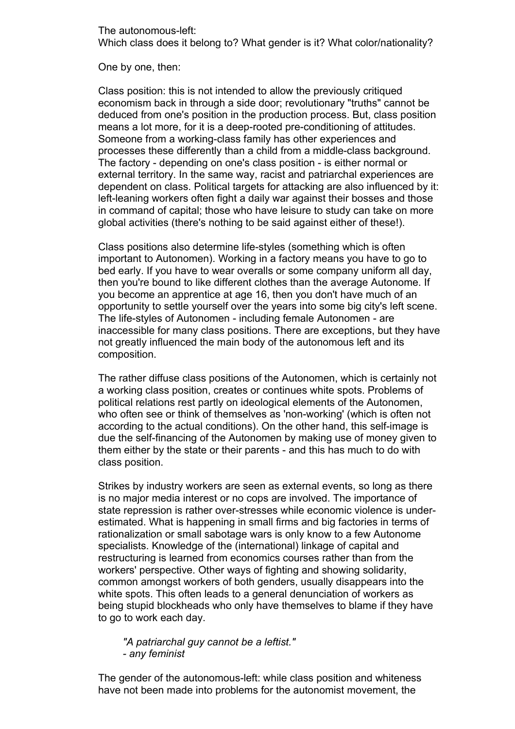The autonomous-left: Which class does it belong to? What gender is it? What color/nationality?

One by one, then:

Class position: this is not intended to allow the previously critiqued economism back in through a side door; revolutionary "truths" cannot be deduced from one's position in the production process. But, class position means a lot more, for it is a deep-rooted pre-conditioning of attitudes. Someone from a working-class family has other experiences and processes these differently than a child from a middle-class background. The factory - depending on one's class position - is either normal or external territory. In the same way, racist and patriarchal experiences are dependent on class. Political targets for attacking are also influenced by it: left-leaning workers often fight a daily war against their bosses and those in command of capital; those who have leisure to study can take on more global activities (there's nothing to be said against either of these!).

Class positions also determine life-styles (something which is often important to Autonomen). Working in a factory means you have to go to bed early. If you have to wear overalls or some company uniform all day, then you're bound to like different clothes than the average Autonome. If you become an apprentice at age 16, then you don't have much of an opportunity to settle yourself over the years into some big city's left scene. The life-styles of Autonomen - including female Autonomen - are inaccessible for many class positions. There are exceptions, but they have not greatly influenced the main body of the autonomous left and its composition.

The rather diffuse class positions of the Autonomen, which is certainly not a working class position, creates or continues white spots. Problems of political relations rest partly on ideological elements of the Autonomen, who often see or think of themselves as 'non-working' (which is often not according to the actual conditions). On the other hand, this self-image is due the self-financing of the Autonomen by making use of money given to them either by the state or their parents - and this has much to do with class position.

Strikes by industry workers are seen as external events, so long as there is no major media interest or no cops are involved. The importance of state repression is rather over-stresses while economic violence is underestimated. What is happening in small firms and big factories in terms of rationalization or small sabotage wars is only know to a few Autonome specialists. Knowledge of the (international) linkage of capital and restructuring is learned from economics courses rather than from the workers' perspective. Other ways of fighting and showing solidarity, common amongst workers of both genders, usually disappears into the white spots. This often leads to a general denunciation of workers as being stupid blockheads who only have themselves to blame if they have to go to work each day.

*"A patriarchal guy cannot be a leftist." - any feminist*

The gender of the autonomous-left: while class position and whiteness have not been made into problems for the autonomist movement, the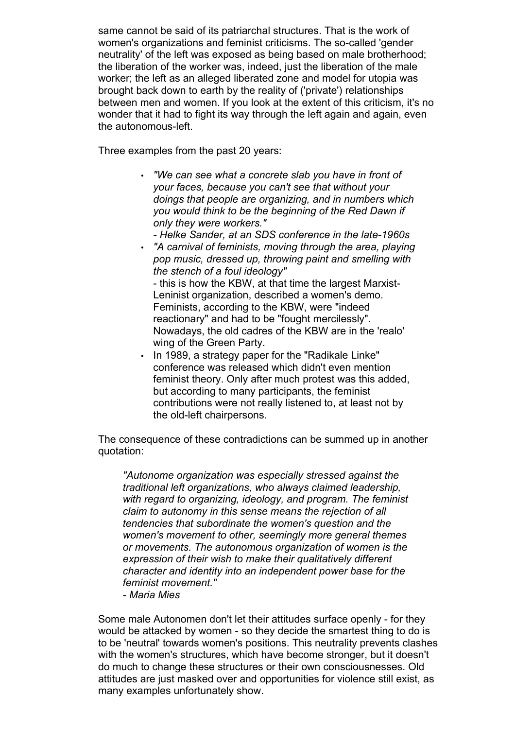same cannot be said of its patriarchal structures. That is the work of women's organizations and feminist criticisms. The so-called 'gender neutrality' of the left was exposed as being based on male brotherhood; the liberation of the worker was, indeed, just the liberation of the male worker; the left as an alleged liberated zone and model for utopia was brought back down to earth by the reality of ('private') relationships between men and women. If you look at the extent of this criticism, it's no wonder that it had to fight its way through the left again and again, even the autonomous-left.

Three examples from the past 20 years:

- *"We can see what a concrete slab you have in front of your faces, because you can't see that without your doings that people are organizing, and in numbers which you would think to be the beginning of the Red Dawn if only they were workers."*
	- *Helke Sander, at an SDS conference in the late-1960s*
- *"A carnival of feminists, moving through the area, playing pop music, dressed up, throwing paint and smelling with the stench of a foul ideology"*

- this is how the KBW, at that time the largest Marxist-Leninist organization, described a women's demo. Feminists, according to the KBW, were "indeed reactionary" and had to be "fought mercilessly". Nowadays, the old cadres of the KBW are in the 'realo' wing of the Green Party.

• In 1989, a strategy paper for the "Radikale Linke" conference was released which didn't even mention feminist theory. Only after much protest was this added, but according to many participants, the feminist contributions were not really listened to, at least not by the old-left chairpersons.

The consequence of these contradictions can be summed up in another quotation:

*"Autonome organization was especially stressed against the traditional left organizations, who always claimed leadership, with regard to organizing, ideology, and program. The feminist claim to autonomy in this sense means the rejection of all tendencies that subordinate the women's question and the women's movement to other, seemingly more general themes or movements. The autonomous organization of women is the expression of their wish to make their qualitatively different character and identity into an independent power base for the feminist movement." - Maria Mies*

Some male Autonomen don't let their attitudes surface openly - for they would be attacked by women - so they decide the smartest thing to do is to be 'neutral' towards women's positions. This neutrality prevents clashes with the women's structures, which have become stronger, but it doesn't do much to change these structures or their own consciousnesses. Old attitudes are just masked over and opportunities for violence still exist, as many examples unfortunately show.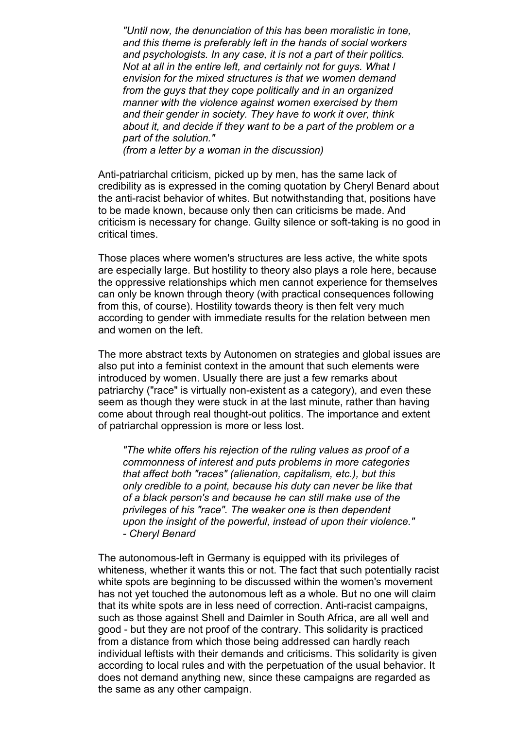*"Until now, the denunciation of this has been moralistic in tone, and this theme is preferably left in the hands of social workers and psychologists. In any case, it is not a part of their politics. Not at all in the entire left, and certainly not for guys. What I envision for the mixed structures is that we women demand from the guys that they cope politically and in an organized manner with the violence against women exercised by them and their gender in society. They have to work it over, think about it, and decide if they want to be a part of the problem or a part of the solution."*

*(from a letter by a woman in the discussion)*

Anti-patriarchal criticism, picked up by men, has the same lack of credibility as is expressed in the coming quotation by Cheryl Benard about the anti-racist behavior of whites. But notwithstanding that, positions have to be made known, because only then can criticisms be made. And criticism is necessary for change. Guilty silence or soft-taking is no good in critical times.

Those places where women's structures are less active, the white spots are especially large. But hostility to theory also plays a role here, because the oppressive relationships which men cannot experience for themselves can only be known through theory (with practical consequences following from this, of course). Hostility towards theory is then felt very much according to gender with immediate results for the relation between men and women on the left.

The more abstract texts by Autonomen on strategies and global issues are also put into a feminist context in the amount that such elements were introduced by women. Usually there are just a few remarks about patriarchy ("race" is virtually non-existent as a category), and even these seem as though they were stuck in at the last minute, rather than having come about through real thought-out politics. The importance and extent of patriarchal oppression is more or less lost.

*"The white offers his rejection of the ruling values as proof of a commonness of interest and puts problems in more categories that affect both "races" (alienation, capitalism, etc.), but this only credible to a point, because his duty can never be like that of a black person's and because he can still make use of the privileges of his "race". The weaker one is then dependent upon the insight of the powerful, instead of upon their violence." - Cheryl Benard*

The autonomous-left in Germany is equipped with its privileges of whiteness, whether it wants this or not. The fact that such potentially racist white spots are beginning to be discussed within the women's movement has not yet touched the autonomous left as a whole. But no one will claim that its white spots are in less need of correction. Anti-racist campaigns, such as those against Shell and Daimler in South Africa, are all well and good - but they are not proof of the contrary. This solidarity is practiced from a distance from which those being addressed can hardly reach individual leftists with their demands and criticisms. This solidarity is given according to local rules and with the perpetuation of the usual behavior. It does not demand anything new, since these campaigns are regarded as the same as any other campaign.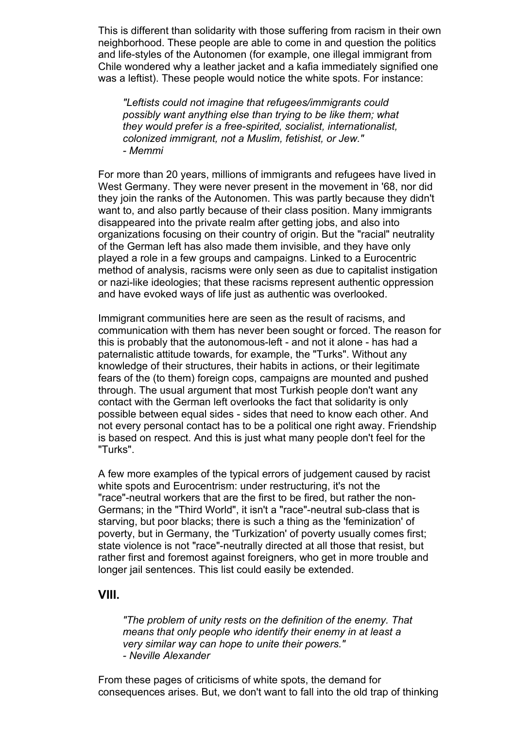This is different than solidarity with those suffering from racism in their own neighborhood. These people are able to come in and question the politics and life-styles of the Autonomen (for example, one illegal immigrant from Chile wondered why a leather jacket and a kafia immediately signified one was a leftist). These people would notice the white spots. For instance:

*"Leftists could not imagine that refugees/immigrants could possibly want anything else than trying to be like them; what they would prefer is a free-spirited, socialist, internationalist, colonized immigrant, not a Muslim, fetishist, or Jew." - Memmi*

For more than 20 years, millions of immigrants and refugees have lived in West Germany. They were never present in the movement in '68, nor did they join the ranks of the Autonomen. This was partly because they didn't want to, and also partly because of their class position. Many immigrants disappeared into the private realm after getting jobs, and also into organizations focusing on their country of origin. But the "racial" neutrality of the German left has also made them invisible, and they have only played a role in a few groups and campaigns. Linked to a Eurocentric method of analysis, racisms were only seen as due to capitalist instigation or nazi-like ideologies; that these racisms represent authentic oppression and have evoked ways of life just as authentic was overlooked.

Immigrant communities here are seen as the result of racisms, and communication with them has never been sought or forced. The reason for this is probably that the autonomous-left - and not it alone - has had a paternalistic attitude towards, for example, the "Turks". Without any knowledge of their structures, their habits in actions, or their legitimate fears of the (to them) foreign cops, campaigns are mounted and pushed through. The usual argument that most Turkish people don't want any contact with the German left overlooks the fact that solidarity is only possible between equal sides - sides that need to know each other. And not every personal contact has to be a political one right away. Friendship is based on respect. And this is just what many people don't feel for the "Turks".

A few more examples of the typical errors of judgement caused by racist white spots and Eurocentrism: under restructuring, it's not the "race"-neutral workers that are the first to be fired, but rather the non-Germans; in the "Third World", it isn't a "race"-neutral sub-class that is starving, but poor blacks; there is such a thing as the 'feminization' of poverty, but in Germany, the 'Turkization' of poverty usually comes first; state violence is not "race"-neutrally directed at all those that resist, but rather first and foremost against foreigners, who get in more trouble and longer jail sentences. This list could easily be extended.

## **VIII.**

*"The problem of unity rests on the definition of the enemy. That means that only people who identify their enemy in at least a very similar way can hope to unite their powers." - Neville Alexander*

From these pages of criticisms of white spots, the demand for consequences arises. But, we don't want to fall into the old trap of thinking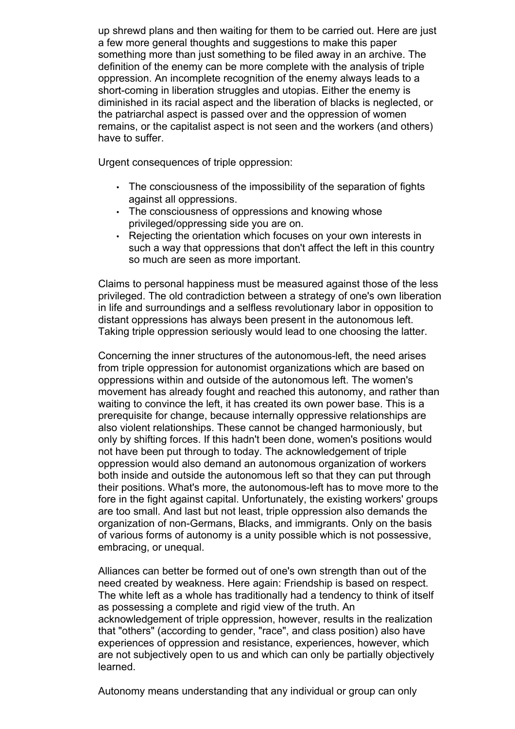up shrewd plans and then waiting for them to be carried out. Here are just a few more general thoughts and suggestions to make this paper something more than just something to be filed away in an archive. The definition of the enemy can be more complete with the analysis of triple oppression. An incomplete recognition of the enemy always leads to a short-coming in liberation struggles and utopias. Either the enemy is diminished in its racial aspect and the liberation of blacks is neglected, or the patriarchal aspect is passed over and the oppression of women remains, or the capitalist aspect is not seen and the workers (and others) have to suffer.

Urgent consequences of triple oppression:

- The consciousness of the impossibility of the separation of fights against all oppressions.
- The consciousness of oppressions and knowing whose privileged/oppressing side you are on.
- Rejecting the orientation which focuses on your own interests in such a way that oppressions that don't affect the left in this country so much are seen as more important.

Claims to personal happiness must be measured against those of the less privileged. The old contradiction between a strategy of one's own liberation in life and surroundings and a selfless revolutionary labor in opposition to distant oppressions has always been present in the autonomous left. Taking triple oppression seriously would lead to one choosing the latter.

Concerning the inner structures of the autonomous-left, the need arises from triple oppression for autonomist organizations which are based on oppressions within and outside of the autonomous left. The women's movement has already fought and reached this autonomy, and rather than waiting to convince the left, it has created its own power base. This is a prerequisite for change, because internally oppressive relationships are also violent relationships. These cannot be changed harmoniously, but only by shifting forces. If this hadn't been done, women's positions would not have been put through to today. The acknowledgement of triple oppression would also demand an autonomous organization of workers both inside and outside the autonomous left so that they can put through their positions. What's more, the autonomous-left has to move more to the fore in the fight against capital. Unfortunately, the existing workers' groups are too small. And last but not least, triple oppression also demands the organization of non-Germans, Blacks, and immigrants. Only on the basis of various forms of autonomy is a unity possible which is not possessive, embracing, or unequal.

Alliances can better be formed out of one's own strength than out of the need created by weakness. Here again: Friendship is based on respect. The white left as a whole has traditionally had a tendency to think of itself as possessing a complete and rigid view of the truth. An acknowledgement of triple oppression, however, results in the realization that "others" (according to gender, "race", and class position) also have experiences of oppression and resistance, experiences, however, which are not subjectively open to us and which can only be partially objectively learned.

Autonomy means understanding that any individual or group can only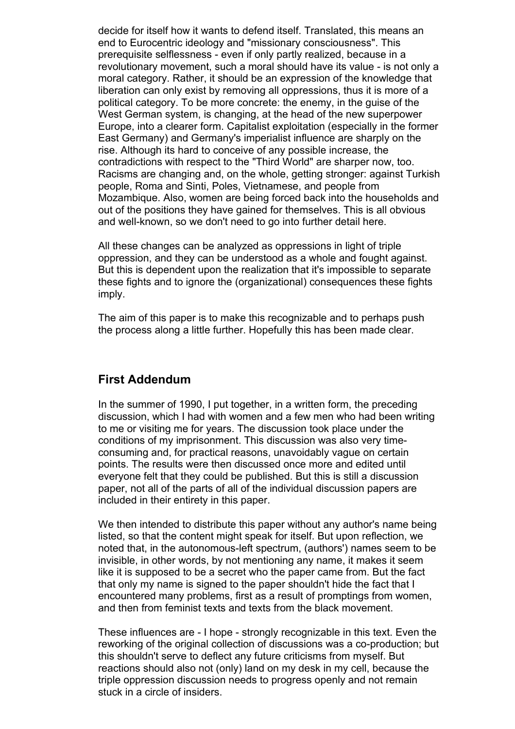decide for itself how it wants to defend itself. Translated, this means an end to Eurocentric ideology and "missionary consciousness". This prerequisite selflessness - even if only partly realized, because in a revolutionary movement, such a moral should have its value - is not only a moral category. Rather, it should be an expression of the knowledge that liberation can only exist by removing all oppressions, thus it is more of a political category. To be more concrete: the enemy, in the guise of the West German system, is changing, at the head of the new superpower Europe, into a clearer form. Capitalist exploitation (especially in the former East Germany) and Germany's imperialist influence are sharply on the rise. Although its hard to conceive of any possible increase, the contradictions with respect to the "Third World" are sharper now, too. Racisms are changing and, on the whole, getting stronger: against Turkish people, Roma and Sinti, Poles, Vietnamese, and people from Mozambique. Also, women are being forced back into the households and out of the positions they have gained for themselves. This is all obvious and well-known, so we don't need to go into further detail here.

All these changes can be analyzed as oppressions in light of triple oppression, and they can be understood as a whole and fought against. But this is dependent upon the realization that it's impossible to separate these fights and to ignore the (organizational) consequences these fights imply.

The aim of this paper is to make this recognizable and to perhaps push the process along a little further. Hopefully this has been made clear.

# **First Addendum**

In the summer of 1990, I put together, in a written form, the preceding discussion, which I had with women and a few men who had been writing to me or visiting me for years. The discussion took place under the conditions of my imprisonment. This discussion was also very timeconsuming and, for practical reasons, unavoidably vague on certain points. The results were then discussed once more and edited until everyone felt that they could be published. But this is still a discussion paper, not all of the parts of all of the individual discussion papers are included in their entirety in this paper.

We then intended to distribute this paper without any author's name being listed, so that the content might speak for itself. But upon reflection, we noted that, in the autonomous-left spectrum, (authors') names seem to be invisible, in other words, by not mentioning any name, it makes it seem like it is supposed to be a secret who the paper came from. But the fact that only my name is signed to the paper shouldn't hide the fact that I encountered many problems, first as a result of promptings from women, and then from feminist texts and texts from the black movement.

These influences are - I hope - strongly recognizable in this text. Even the reworking of the original collection of discussions was a co-production; but this shouldn't serve to deflect any future criticisms from myself. But reactions should also not (only) land on my desk in my cell, because the triple oppression discussion needs to progress openly and not remain stuck in a circle of insiders.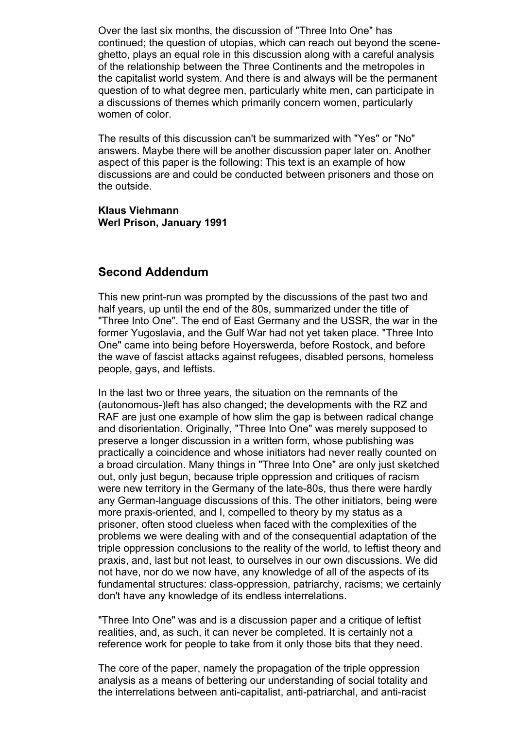Over the last six months, the discussion of "Three Into One" has continued; the question of utopias, which can reach out beyond the sceneghetto, plays an equal role in this discussion along with a careful analysis of the relationship between the Three Continents and the metropoles in the capitalist world system. And there is and always will be the permanent question of to what degree men, particularly white men, can participate in a discussions of themes which primarily concern women, particularly women of color.

The results of this discussion can't be summarized with "Yes" or "No" answers. Maybe there will be another discussion paper later on. Another aspect of this paper is the following: This text is an example of how discussions are and could be conducted between prisoners and those on the outside.

#### **Klaus Viehmann Werl Prison, January 1991**

# **Second Addendum**

This new print-run was prompted by the discussions of the past two and half years, up until the end of the 80s, summarized under the title of "Three Into One". The end of East Germany and the USSR, the war in the former Yugoslavia, and the Gulf War had not yet taken place. "Three Into One" came into being before Hoyerswerda, before Rostock, and before the wave of fascist attacks against refugees, disabled persons, homeless people, gays, and leftists.

In the last two or three years, the situation on the remnants of the (autonomous-)left has also changed; the developments with the RZ and RAF are just one example of how slim the gap is between radical change and disorientation. Originally, "Three Into One" was merely supposed to preserve a longer discussion in a written form, whose publishing was practically a coincidence and whose initiators had never really counted on a broad circulation. Many things in "Three Into One" are only just sketched out, only just begun, because triple oppression and critiques of racism were new territory in the Germany of the late-80s, thus there were hardly any German-language discussions of this. The other initiators, being were more praxis-oriented, and I, compelled to theory by my status as a prisoner, often stood clueless when faced with the complexities of the problems we were dealing with and of the consequential adaptation of the triple oppression conclusions to the reality of the world, to leftist theory and praxis, and, last but not least, to ourselves in our own discussions. We did not have, nor do we now have, any knowledge of all of the aspects of its fundamental structures: class-oppression, patriarchy, racisms; we certainly don't have any knowledge of its endless interrelations.

"Three Into One" was and is a discussion paper and a critique of leftist realities, and, as such, it can never be completed. It is certainly not a reference work for people to take from it only those bits that they need.

The core of the paper, namely the propagation of the triple oppression analysis as a means of bettering our understanding of social totality and the interrelations between anti-capitalist, anti-patriarchal, and anti-racist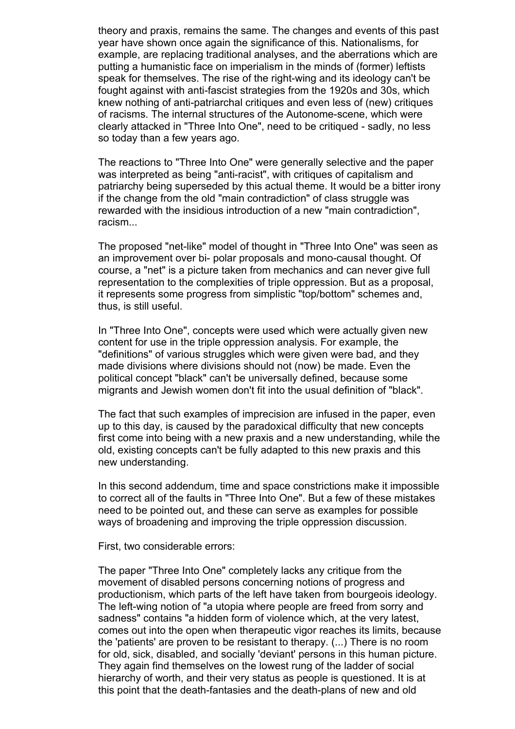theory and praxis, remains the same. The changes and events of this past year have shown once again the significance of this. Nationalisms, for example, are replacing traditional analyses, and the aberrations which are putting a humanistic face on imperialism in the minds of (former) leftists speak for themselves. The rise of the right-wing and its ideology can't be fought against with anti-fascist strategies from the 1920s and 30s, which knew nothing of anti-patriarchal critiques and even less of (new) critiques of racisms. The internal structures of the Autonome-scene, which were clearly attacked in "Three Into One", need to be critiqued - sadly, no less so today than a few years ago.

The reactions to "Three Into One" were generally selective and the paper was interpreted as being "anti-racist", with critiques of capitalism and patriarchy being superseded by this actual theme. It would be a bitter irony if the change from the old "main contradiction" of class struggle was rewarded with the insidious introduction of a new "main contradiction", racism...

The proposed "net-like" model of thought in "Three Into One" was seen as an improvement over bi- polar proposals and mono-causal thought. Of course, a "net" is a picture taken from mechanics and can never give full representation to the complexities of triple oppression. But as a proposal, it represents some progress from simplistic "top/bottom" schemes and, thus, is still useful.

In "Three Into One", concepts were used which were actually given new content for use in the triple oppression analysis. For example, the "definitions" of various struggles which were given were bad, and they made divisions where divisions should not (now) be made. Even the political concept "black" can't be universally defined, because some migrants and Jewish women don't fit into the usual definition of "black".

The fact that such examples of imprecision are infused in the paper, even up to this day, is caused by the paradoxical difficulty that new concepts first come into being with a new praxis and a new understanding, while the old, existing concepts can't be fully adapted to this new praxis and this new understanding.

In this second addendum, time and space constrictions make it impossible to correct all of the faults in "Three Into One". But a few of these mistakes need to be pointed out, and these can serve as examples for possible ways of broadening and improving the triple oppression discussion.

First, two considerable errors:

The paper "Three Into One" completely lacks any critique from the movement of disabled persons concerning notions of progress and productionism, which parts of the left have taken from bourgeois ideology. The left-wing notion of "a utopia where people are freed from sorry and sadness" contains "a hidden form of violence which, at the very latest, comes out into the open when therapeutic vigor reaches its limits, because the 'patients' are proven to be resistant to therapy. (...) There is no room for old, sick, disabled, and socially 'deviant' persons in this human picture. They again find themselves on the lowest rung of the ladder of social hierarchy of worth, and their very status as people is questioned. It is at this point that the death-fantasies and the death-plans of new and old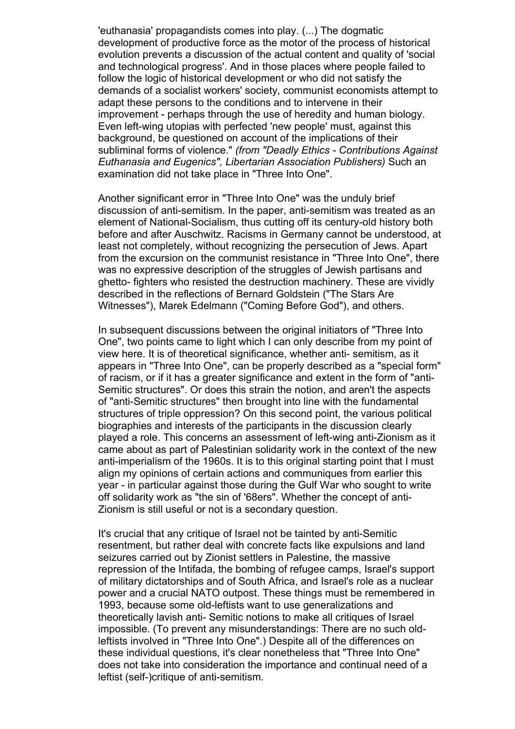'euthanasia' propagandists comes into play. (...) The dogmatic development of productive force as the motor of the process of historical evolution prevents a discussion of the actual content and quality of 'social and technological progress'. And in those places where people failed to follow the logic of historical development or who did not satisfy the demands of a socialist workers' society, communist economists attempt to adapt these persons to the conditions and to intervene in their improvement - perhaps through the use of heredity and human biology. Even left-wing utopias with perfected 'new people' must, against this background, be questioned on account of the implications of their subliminal forms of violence." *(from "Deadly Ethics - Contributions Against Euthanasia and Eugenics", Libertarian Association Publishers)* Such an examination did not take place in "Three Into One".

Another significant error in "Three Into One" was the unduly brief discussion of anti-semitism. In the paper, anti-semitism was treated as an element of National-Socialism, thus cutting off its century-old history both before and after Auschwitz. Racisms in Germany cannot be understood, at least not completely, without recognizing the persecution of Jews. Apart from the excursion on the communist resistance in "Three Into One", there was no expressive description of the struggles of Jewish partisans and ghetto- fighters who resisted the destruction machinery. These are vividly described in the reflections of Bernard Goldstein ("The Stars Are Witnesses"), Marek Edelmann ("Coming Before God"), and others.

In subsequent discussions between the original initiators of "Three Into One", two points came to light which I can only describe from my point of view here. It is of theoretical significance, whether anti- semitism, as it appears in "Three Into One", can be properly described as a "special form" of racism, or if it has a greater significance and extent in the form of "anti-Semitic structures". Or does this strain the notion, and aren't the aspects of "anti-Semitic structures" then brought into line with the fundamental structures of triple oppression? On this second point, the various political biographies and interests of the participants in the discussion clearly played a role. This concerns an assessment of left-wing anti-Zionism as it came about as part of Palestinian solidarity work in the context of the new anti-imperialism of the 1960s. It is to this original starting point that I must align my opinions of certain actions and communiques from earlier this year - in particular against those during the Gulf War who sought to write off solidarity work as "the sin of '68ers". Whether the concept of anti-Zionism is still useful or not is a secondary question.

It's crucial that any critique of Israel not be tainted by anti-Semitic resentment, but rather deal with concrete facts like expulsions and land seizures carried out by Zionist settlers in Palestine, the massive repression of the Intifada, the bombing of refugee camps, Israel's support of military dictatorships and of South Africa, and Israel's role as a nuclear power and a crucial NATO outpost. These things must be remembered in 1993, because some old-leftists want to use generalizations and theoretically lavish anti- Semitic notions to make all critiques of Israel impossible. (To prevent any misunderstandings: There are no such oldleftists involved in "Three Into One".) Despite all of the differences on these individual questions, it's clear nonetheless that "Three Into One" does not take into consideration the importance and continual need of a leftist (self-)critique of anti-semitism.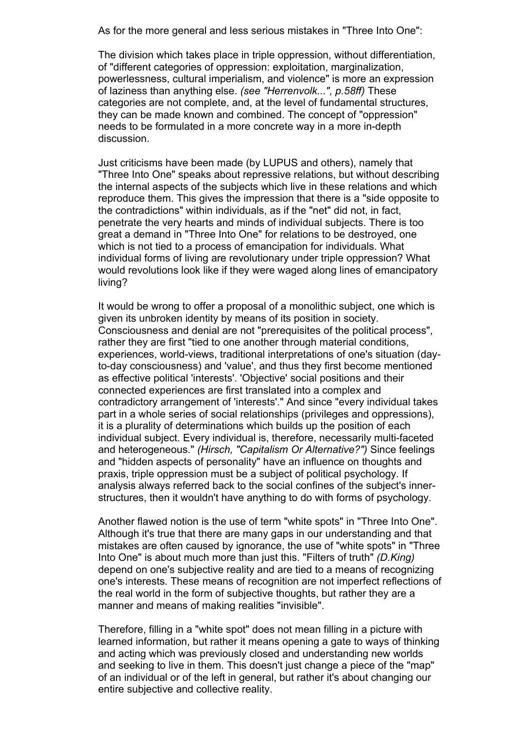As for the more general and less serious mistakes in "Three Into One":

The division which takes place in triple oppression, without differentiation, of "different categories of oppression: exploitation, marginalization, powerlessness, cultural imperialism, and violence" is more an expression of laziness than anything else. *(see "Herrenvolk...", p.58ff)* These categories are not complete, and, at the level of fundamental structures, they can be made known and combined. The concept of "oppression" needs to be formulated in a more concrete way in a more in-depth discussion.

Just criticisms have been made (by LUPUS and others), namely that "Three Into One" speaks about repressive relations, but without describing the internal aspects of the subjects which live in these relations and which reproduce them. This gives the impression that there is a "side opposite to the contradictions" within individuals, as if the "net" did not, in fact, penetrate the very hearts and minds of individual subjects. There is too great a demand in "Three Into One" for relations to be destroyed, one which is not tied to a process of emancipation for individuals. What individual forms of living are revolutionary under triple oppression? What would revolutions look like if they were waged along lines of emancipatory living?

It would be wrong to offer a proposal of a monolithic subject, one which is given its unbroken identity by means of its position in society. Consciousness and denial are not "prerequisites of the political process", rather they are first "tied to one another through material conditions, experiences, world-views, traditional interpretations of one's situation (dayto-day consciousness) and 'value', and thus they first become mentioned as effective political 'interests'. 'Objective' social positions and their connected experiences are first translated into a complex and contradictory arrangement of 'interests'." And since "every individual takes part in a whole series of social relationships (privileges and oppressions), it is a plurality of determinations which builds up the position of each individual subject. Every individual is, therefore, necessarily multi-faceted and heterogeneous." *(Hirsch, "Capitalism Or Alternative?")* Since feelings and "hidden aspects of personality" have an influence on thoughts and praxis, triple oppression must be a subject of political psychology. If analysis always referred back to the social confines of the subject's innerstructures, then it wouldn't have anything to do with forms of psychology.

Another flawed notion is the use of term "white spots" in "Three Into One". Although it's true that there are many gaps in our understanding and that mistakes are often caused by ignorance, the use of "white spots" in "Three Into One" is about much more than just this. "Filters of truth" *(D.King)* depend on one's subjective reality and are tied to a means of recognizing one's interests. These means of recognition are not imperfect reflections of the real world in the form of subjective thoughts, but rather they are a manner and means of making realities "invisible".

Therefore, filling in a "white spot" does not mean filling in a picture with learned information, but rather it means opening a gate to ways of thinking and acting which was previously closed and understanding new worlds and seeking to live in them. This doesn't just change a piece of the "map" of an individual or of the left in general, but rather it's about changing our entire subjective and collective reality.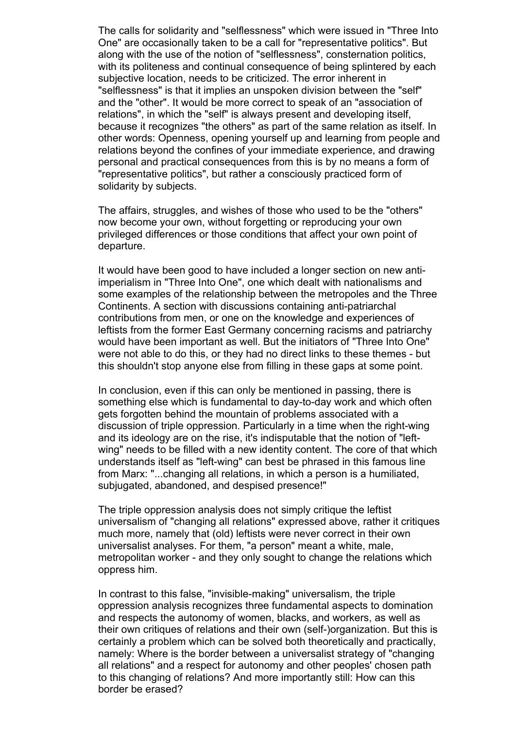The calls for solidarity and "selflessness" which were issued in "Three Into One" are occasionally taken to be a call for "representative politics". But along with the use of the notion of "selflessness", consternation politics, with its politeness and continual consequence of being splintered by each subjective location, needs to be criticized. The error inherent in "selflessness" is that it implies an unspoken division between the "self" and the "other". It would be more correct to speak of an "association of relations", in which the "self" is always present and developing itself, because it recognizes "the others" as part of the same relation as itself. In other words: Openness, opening yourself up and learning from people and relations beyond the confines of your immediate experience, and drawing personal and practical consequences from this is by no means a form of "representative politics", but rather a consciously practiced form of solidarity by subjects.

The affairs, struggles, and wishes of those who used to be the "others" now become your own, without forgetting or reproducing your own privileged differences or those conditions that affect your own point of departure.

It would have been good to have included a longer section on new antiimperialism in "Three Into One", one which dealt with nationalisms and some examples of the relationship between the metropoles and the Three Continents. A section with discussions containing anti-patriarchal contributions from men, or one on the knowledge and experiences of leftists from the former East Germany concerning racisms and patriarchy would have been important as well. But the initiators of "Three Into One" were not able to do this, or they had no direct links to these themes - but this shouldn't stop anyone else from filling in these gaps at some point.

In conclusion, even if this can only be mentioned in passing, there is something else which is fundamental to day-to-day work and which often gets forgotten behind the mountain of problems associated with a discussion of triple oppression. Particularly in a time when the right-wing and its ideology are on the rise, it's indisputable that the notion of "leftwing" needs to be filled with a new identity content. The core of that which understands itself as "left-wing" can best be phrased in this famous line from Marx: "...changing all relations, in which a person is a humiliated, subjugated, abandoned, and despised presence!"

The triple oppression analysis does not simply critique the leftist universalism of "changing all relations" expressed above, rather it critiques much more, namely that (old) leftists were never correct in their own universalist analyses. For them, "a person" meant a white, male, metropolitan worker - and they only sought to change the relations which oppress him.

In contrast to this false, "invisible-making" universalism, the triple oppression analysis recognizes three fundamental aspects to domination and respects the autonomy of women, blacks, and workers, as well as their own critiques of relations and their own (self-)organization. But this is certainly a problem which can be solved both theoretically and practically, namely: Where is the border between a universalist strategy of "changing all relations" and a respect for autonomy and other peoples' chosen path to this changing of relations? And more importantly still: How can this border be erased?